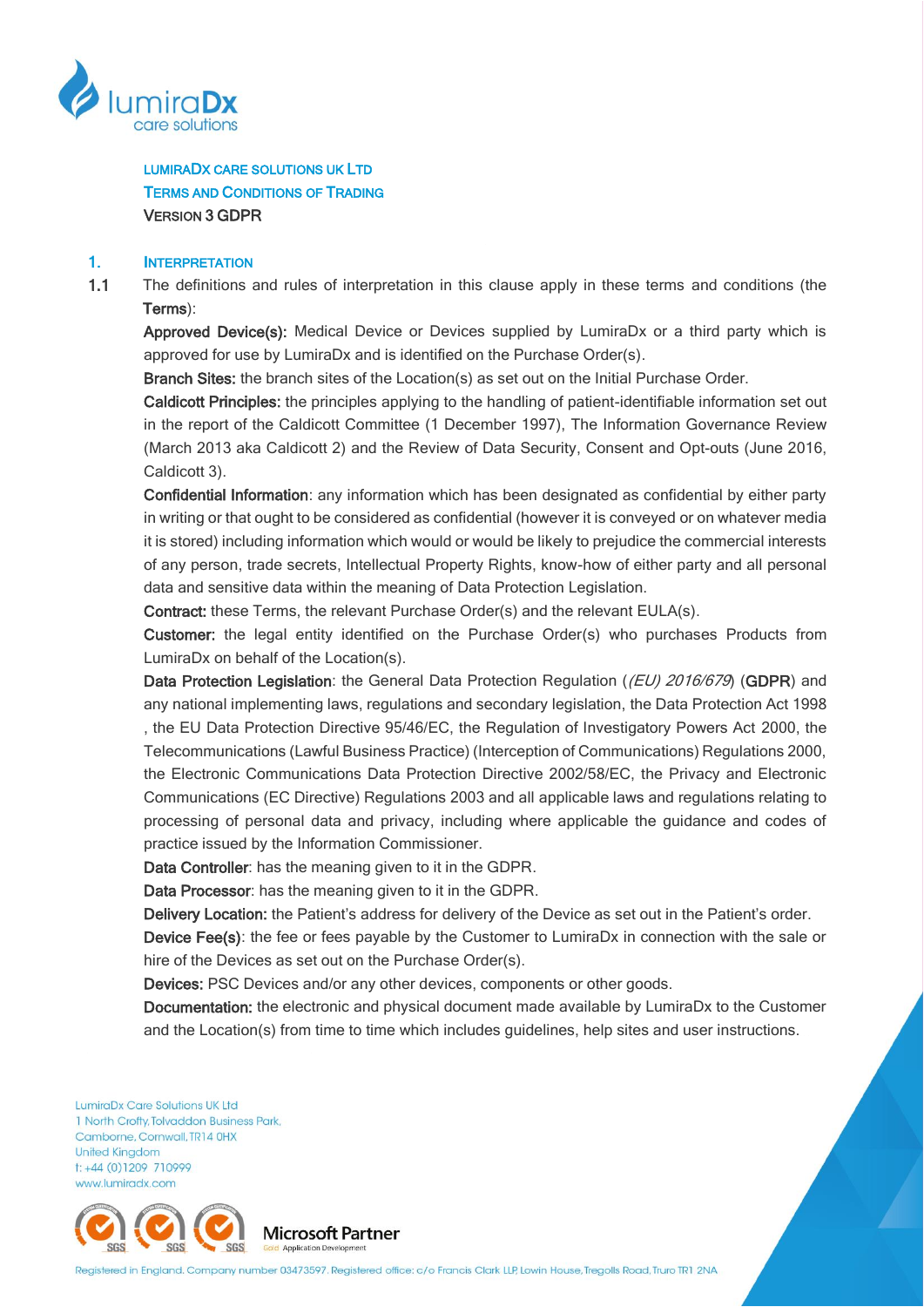

LUMIRADX CARE SOLUTIONS UK LTD TERMS AND CONDITIONS OF TRADING VERSION 3 GDPR

#### 1. INTERPRETATION

1.1 The definitions and rules of interpretation in this clause apply in these terms and conditions (the Terms):

Approved Device(s): Medical Device or Devices supplied by LumiraDx or a third party which is approved for use by LumiraDx and is identified on the Purchase Order(s).

Branch Sites: the branch sites of the Location(s) as set out on the Initial Purchase Order.

Caldicott Principles: the principles applying to the handling of patient-identifiable information set out in the report of the Caldicott Committee (1 December 1997), The Information Governance Review (March 2013 aka Caldicott 2) and the Review of Data Security, Consent and Opt-outs (June 2016, Caldicott 3).

Confidential Information: any information which has been designated as confidential by either party in writing or that ought to be considered as confidential (however it is conveyed or on whatever media it is stored) including information which would or would be likely to prejudice the commercial interests of any person, trade secrets, Intellectual Property Rights, know-how of either party and all personal data and sensitive data within the meaning of Data Protection Legislation.

Contract: these Terms, the relevant Purchase Order(s) and the relevant EULA(s).

Customer: the legal entity identified on the Purchase Order(s) who purchases Products from LumiraDx on behalf of the Location(s).

Data Protection Legislation: the General Data Protection Regulation ((EU) 2016/679) (GDPR) and any national implementing laws, regulations and secondary legislation, the Data Protection Act 1998 , the EU Data Protection Directive 95/46/EC, the Regulation of Investigatory Powers Act 2000, the Telecommunications (Lawful Business Practice) (Interception of Communications) Regulations 2000, the Electronic Communications Data Protection Directive 2002/58/EC, the Privacy and Electronic Communications (EC Directive) Regulations 2003 and all applicable laws and regulations relating to processing of personal data and privacy, including where applicable the guidance and codes of practice issued by the Information Commissioner.

Data Controller: has the meaning given to it in the GDPR.

Data Processor: has the meaning given to it in the GDPR.

Delivery Location: the Patient's address for delivery of the Device as set out in the Patient's order.

Device Fee(s): the fee or fees payable by the Customer to LumiraDx in connection with the sale or hire of the Devices as set out on the Purchase Order(s).

Devices: PSC Devices and/or any other devices, components or other goods.

Documentation: the electronic and physical document made available by LumiraDx to the Customer and the Location(s) from time to time which includes guidelines, help sites and user instructions.

LumiraDx Care Solutions UK Ltd 1 North Crofty, Tolvaddon Business Park, Camborne, Cornwall, TR14 0HX **United Kingdom** t: +44 (0)1209 710999 www.lumiradx.com



Registered in England. Company number 03473597. Registered office: c/o Francis Clark LLP, Lowin House, Tregolls Road, Truro TR1 2NA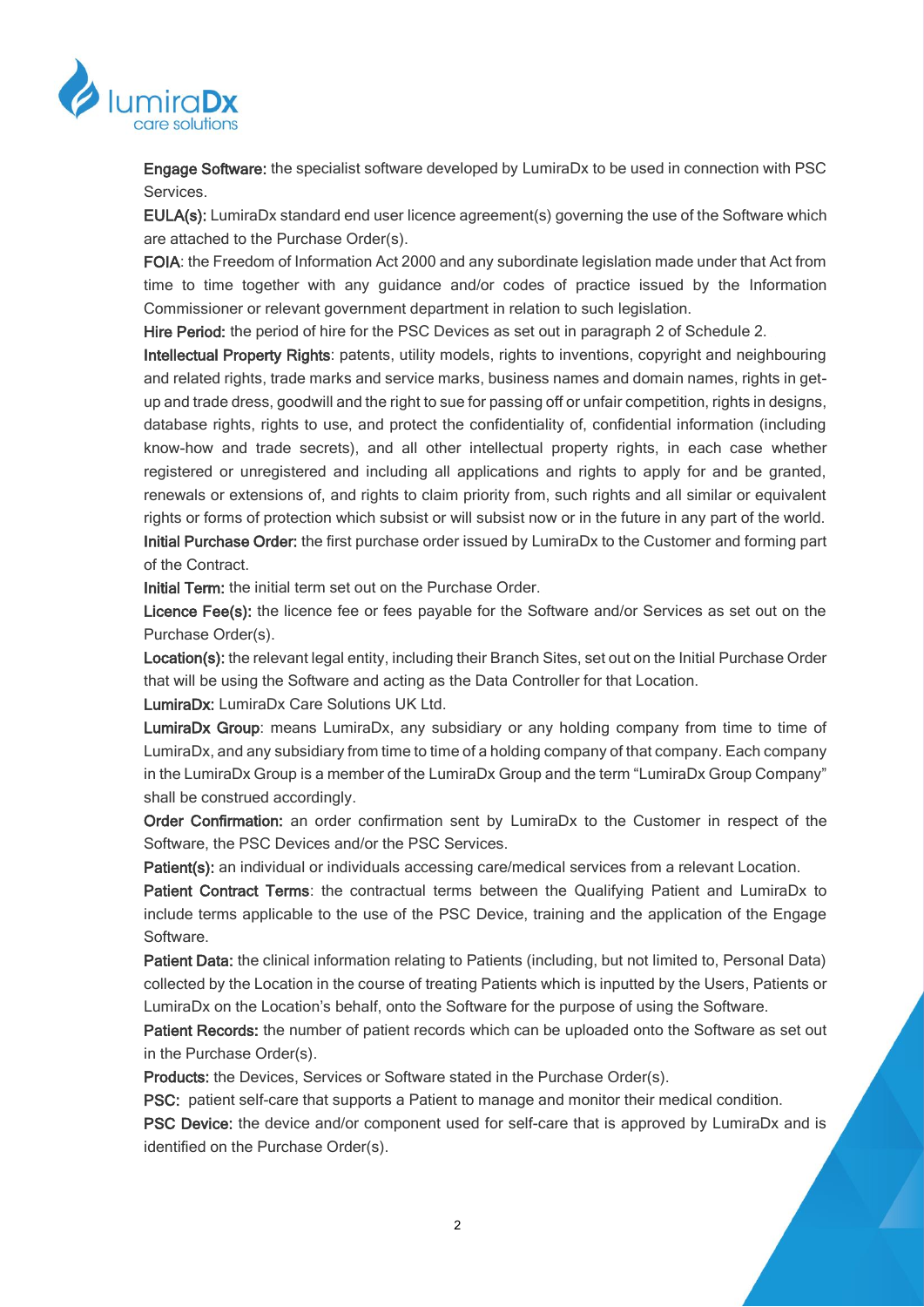

Engage Software: the specialist software developed by LumiraDx to be used in connection with PSC Services.

EULA(s): LumiraDx standard end user licence agreement(s) governing the use of the Software which are attached to the Purchase Order(s).

FOIA: the Freedom of Information Act 2000 and any subordinate legislation made under that Act from time to time together with any guidance and/or codes of practice issued by the Information Commissioner or relevant government department in relation to such legislation.

Hire Period: the period of hire for the PSC Devices as set out in paragraph [2](#page-15-0) of Schedule 2.

Intellectual Property Rights: patents, utility models, rights to inventions, copyright and neighbouring and related rights, trade marks and service marks, business names and domain names, rights in getup and trade dress, goodwill and the right to sue for passing off or unfair competition, rights in designs, database rights, rights to use, and protect the confidentiality of, confidential information (including know-how and trade secrets), and all other intellectual property rights, in each case whether registered or unregistered and including all applications and rights to apply for and be granted, renewals or extensions of, and rights to claim priority from, such rights and all similar or equivalent rights or forms of protection which subsist or will subsist now or in the future in any part of the world. Initial Purchase Order: the first purchase order issued by LumiraDx to the Customer and forming part of the Contract.

Initial Term: the initial term set out on the Purchase Order.

Licence Fee(s): the licence fee or fees payable for the Software and/or Services as set out on the Purchase Order(s).

Location(s): the relevant legal entity, including their Branch Sites, set out on the Initial Purchase Order that will be using the Software and acting as the Data Controller for that Location.

LumiraDx: LumiraDx Care Solutions UK Ltd.

LumiraDx Group: means LumiraDx, any subsidiary or any holding company from time to time of LumiraDx, and any subsidiary from time to time of a holding company of that company. Each company in the LumiraDx Group is a member of the LumiraDx Group and the term "LumiraDx Group Company" shall be construed accordingly.

Order Confirmation: an order confirmation sent by LumiraDx to the Customer in respect of the Software, the PSC Devices and/or the PSC Services.

Patient(s): an individual or individuals accessing care/medical services from a relevant Location.

Patient Contract Terms: the contractual terms between the Qualifying Patient and LumiraDx to include terms applicable to the use of the PSC Device, training and the application of the Engage Software.

Patient Data: the clinical information relating to Patients (including, but not limited to, Personal Data) collected by the Location in the course of treating Patients which is inputted by the Users, Patients or LumiraDx on the Location's behalf, onto the Software for the purpose of using the Software.

Patient Records: the number of patient records which can be uploaded onto the Software as set out in the Purchase Order(s).

Products: the Devices, Services or Software stated in the Purchase Order(s).

PSC: patient self-care that supports a Patient to manage and monitor their medical condition.

PSC Device: the device and/or component used for self-care that is approved by LumiraDx and is identified on the Purchase Order(s).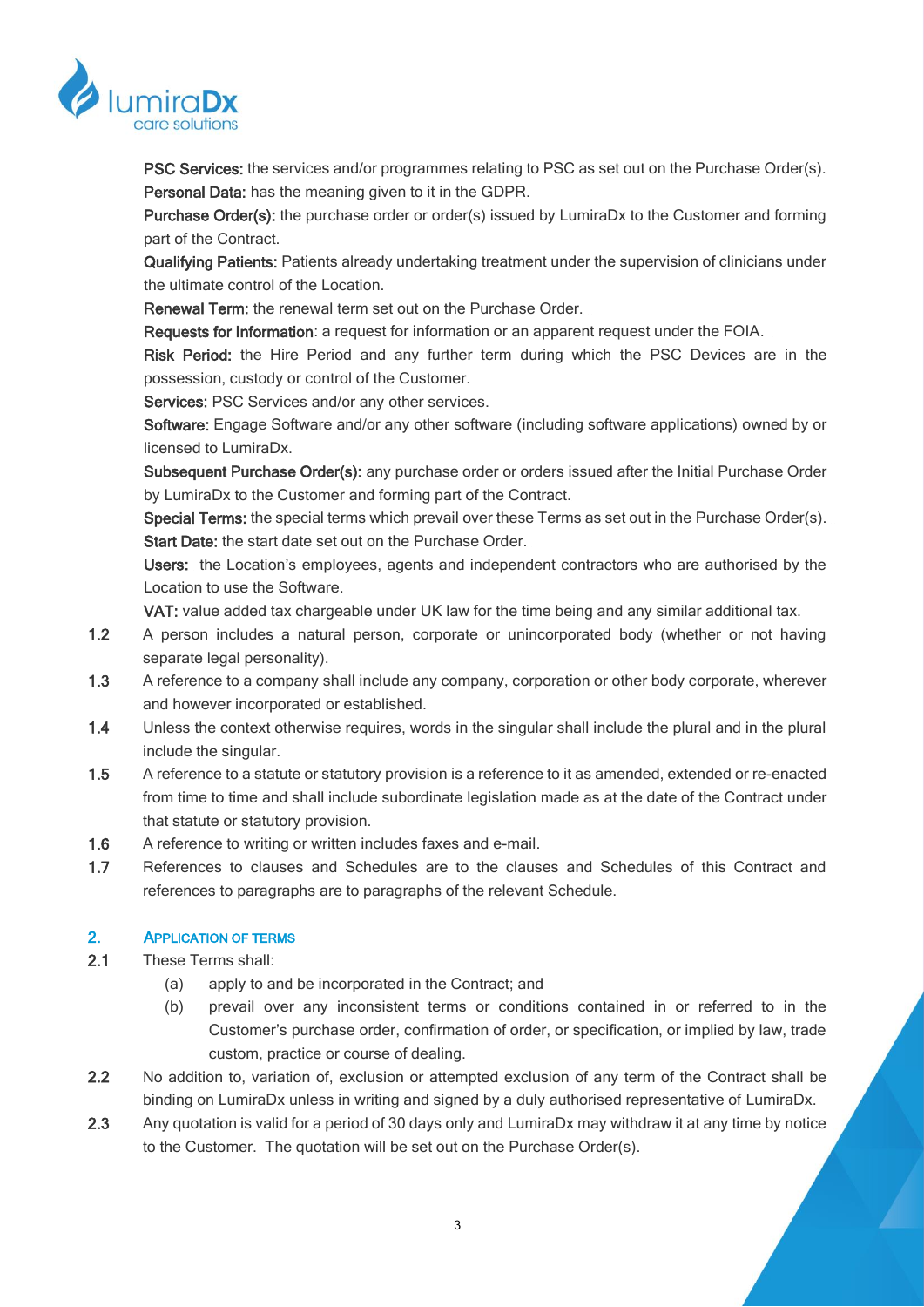

PSC Services: the services and/or programmes relating to PSC as set out on the Purchase Order(s). Personal Data: has the meaning given to it in the GDPR.

Purchase Order(s): the purchase order or order(s) issued by LumiraDx to the Customer and forming part of the Contract.

Qualifying Patients: Patients already undertaking treatment under the supervision of clinicians under the ultimate control of the Location.

Renewal Term: the renewal term set out on the Purchase Order.

Requests for Information: a request for information or an apparent request under the FOIA.

Risk Period: the Hire Period and any further term during which the PSC Devices are in the possession, custody or control of the Customer.

Services: PSC Services and/or any other services.

Software: Engage Software and/or any other software (including software applications) owned by or licensed to LumiraDx.

Subsequent Purchase Order(s): any purchase order or orders issued after the Initial Purchase Order by LumiraDx to the Customer and forming part of the Contract.

Special Terms: the special terms which prevail over these Terms as set out in the Purchase Order(s). Start Date: the start date set out on the Purchase Order.

Users: the Location's employees, agents and independent contractors who are authorised by the Location to use the Software.

VAT: value added tax chargeable under UK law for the time being and any similar additional tax.

- 1.2 A person includes a natural person, corporate or unincorporated body (whether or not having separate legal personality).
- 1.3 A reference to a company shall include any company, corporation or other body corporate, wherever and however incorporated or established.
- 1.4 Unless the context otherwise requires, words in the singular shall include the plural and in the plural include the singular.
- 1.5 A reference to a statute or statutory provision is a reference to it as amended, extended or re-enacted from time to time and shall include subordinate legislation made as at the date of the Contract under that statute or statutory provision.
- 1.6 A reference to writing or written includes faxes and e-mail.
- 1.7 References to clauses and Schedules are to the clauses and Schedules of this Contract and references to paragraphs are to paragraphs of the relevant Schedule.

# 2. APPLICATION OF TERMS

- 2.1 These Terms shall:
	- (a) apply to and be incorporated in the Contract; and
	- (b) prevail over any inconsistent terms or conditions contained in or referred to in the Customer's purchase order, confirmation of order, or specification, or implied by law, trade custom, practice or course of dealing.
- 2.2 No addition to, variation of, exclusion or attempted exclusion of any term of the Contract shall be binding on LumiraDx unless in writing and signed by a duly authorised representative of LumiraDx.
- 2.3 Any quotation is valid for a period of 30 days only and LumiraDx may withdraw it at any time by notice to the Customer. The quotation will be set out on the Purchase Order(s).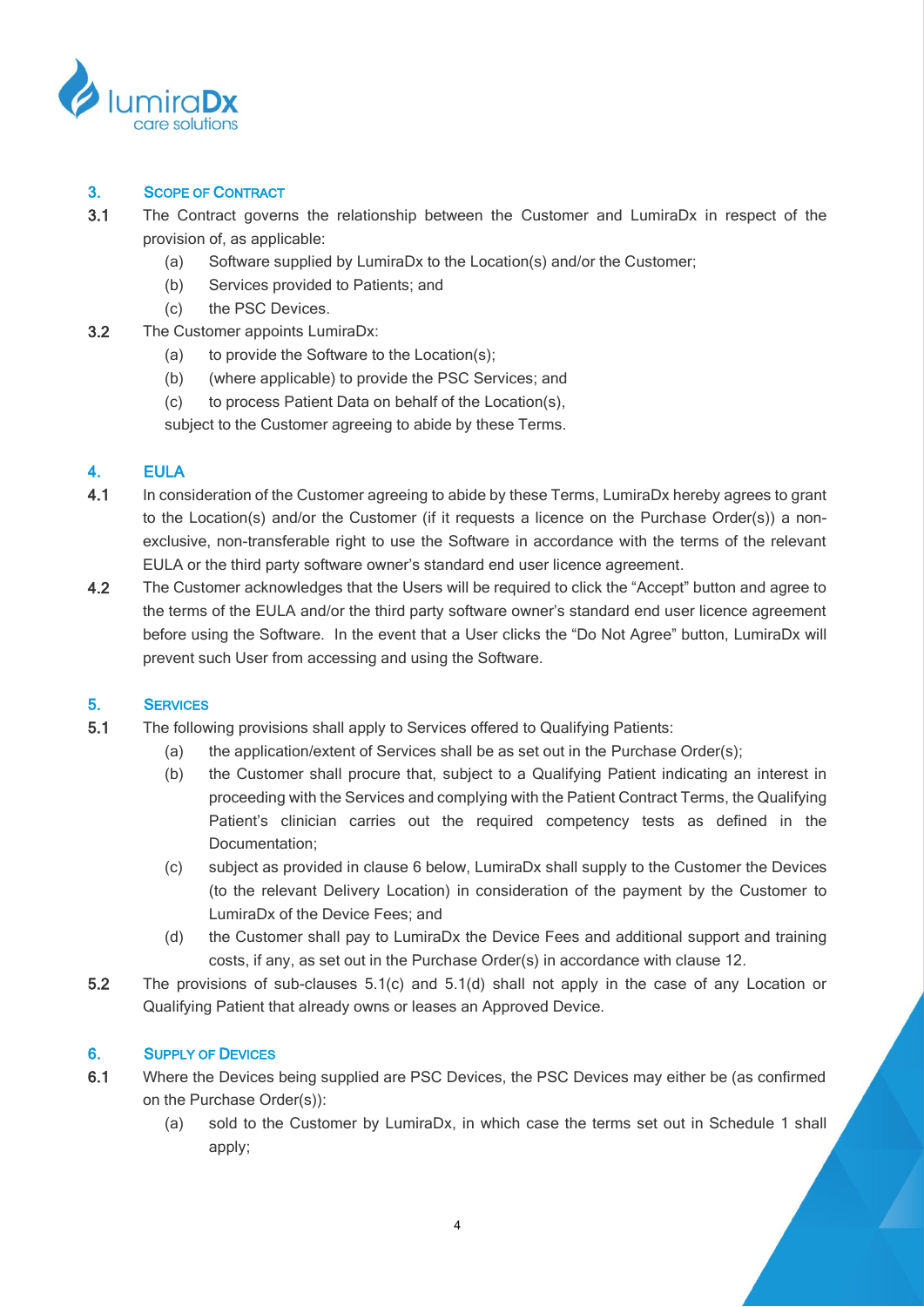

# 3. SCOPE OF CONTRACT

- 3.1 The Contract governs the relationship between the Customer and LumiraDx in respect of the provision of, as applicable:
	- (a) Software supplied by LumiraDx to the Location(s) and/or the Customer;
	- (b) Services provided to Patients; and
	- (c) the PSC Devices.
- 3.2 The Customer appoints LumiraDx:
	- (a) to provide the Software to the Location(s);
	- (b) (where applicable) to provide the PSC Services; and
	- (c) to process Patient Data on behalf of the Location(s),

subject to the Customer agreeing to abide by these Terms.

# 4. EULA

- 4.1 In consideration of the Customer agreeing to abide by these Terms, LumiraDx hereby agrees to grant to the Location(s) and/or the Customer (if it requests a licence on the Purchase Order(s)) a nonexclusive, non-transferable right to use the Software in accordance with the terms of the relevant EULA or the third party software owner's standard end user licence agreement.
- 4.2 The Customer acknowledges that the Users will be required to click the "Accept" button and agree to the terms of the EULA and/or the third party software owner's standard end user licence agreement before using the Software. In the event that a User clicks the "Do Not Agree" button, LumiraDx will prevent such User from accessing and using the Software.

# 5. SERVICES

- 5.1 The following provisions shall apply to Services offered to Qualifying Patients:
	- (a) the application/extent of Services shall be as set out in the Purchase Order(s);
	- (b) the Customer shall procure that, subject to a Qualifying Patient indicating an interest in proceeding with the Services and complying with the Patient Contract Terms, the Qualifying Patient's clinician carries out the required competency tests as defined in the Documentation;
	- (c) subject as provided in clause [6](#page-3-0) below, LumiraDx shall supply to the Customer the Devices (to the relevant Delivery Location) in consideration of the payment by the Customer to LumiraDx of the Device Fees; and
	- (d) the Customer shall pay to LumiraDx the Device Fees and additional support and training costs, if any, as set out in the Purchase Order(s) in accordance with clause [12.](#page-8-0)
- <span id="page-3-2"></span><span id="page-3-1"></span>5.2 The provisions of sub-clauses [5.1\(c\)](#page-3-1) and [5.1\(d\)](#page-3-2) shall not apply in the case of any Location or Qualifying Patient that already owns or leases an Approved Device.

# <span id="page-3-0"></span>6. SUPPLY OF DEVICES

- 6.1 Where the Devices being supplied are PSC Devices, the PSC Devices may either be (as confirmed on the Purchase Order(s)):
	- (a) sold to the Customer by LumiraDx, in which case the terms set out in Schedule 1 shall apply;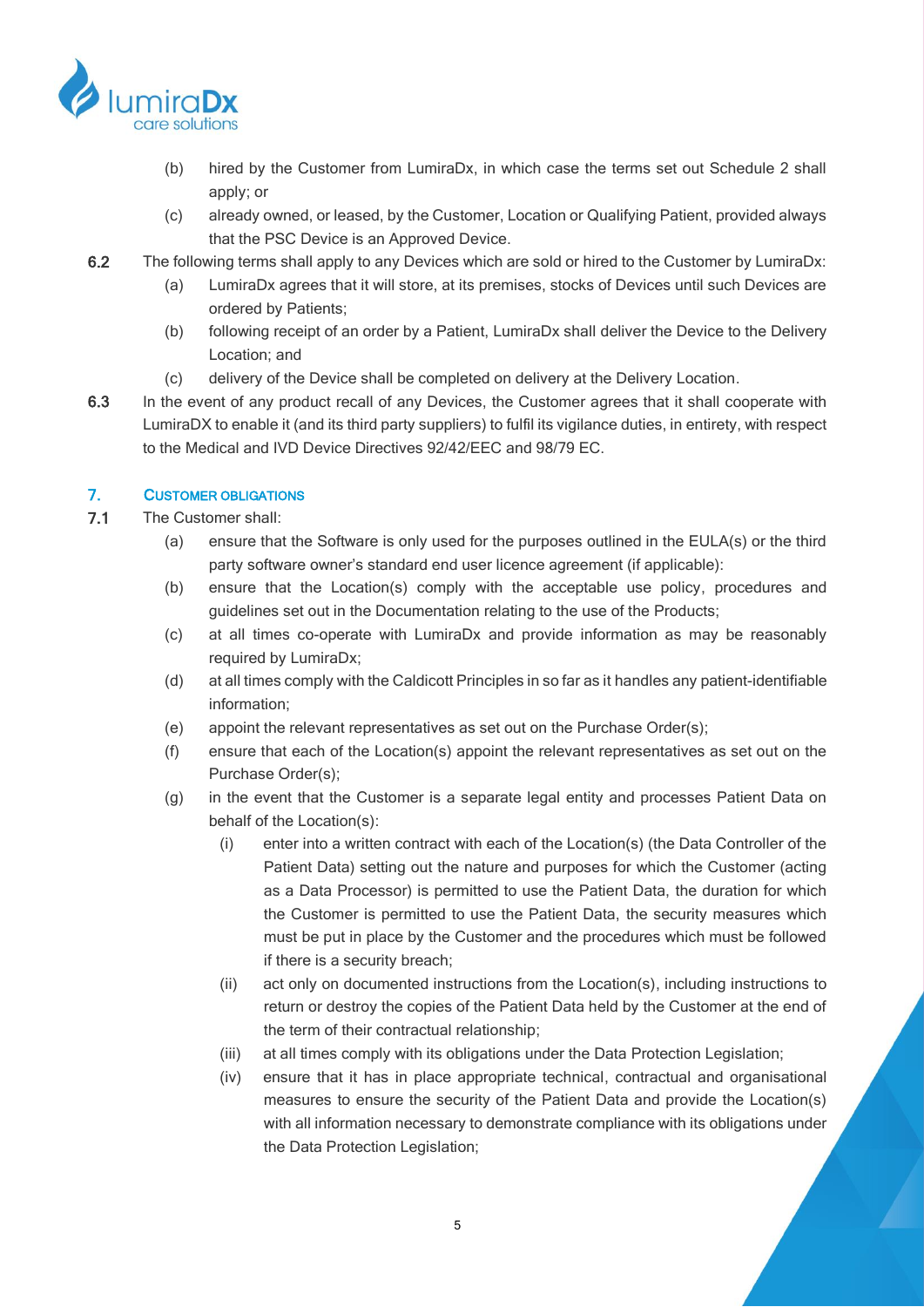

- (b) hired by the Customer from LumiraDx, in which case the terms set out Schedule 2 shall apply; or
- (c) already owned, or leased, by the Customer, Location or Qualifying Patient, provided always that the PSC Device is an Approved Device.
- 6.2 The following terms shall apply to any Devices which are sold or hired to the Customer by LumiraDx:
	- (a) LumiraDx agrees that it will store, at its premises, stocks of Devices until such Devices are ordered by Patients;
	- (b) following receipt of an order by a Patient, LumiraDx shall deliver the Device to the Delivery Location; and
	- (c) delivery of the Device shall be completed on delivery at the Delivery Location.
- 6.3 In the event of any product recall of any Devices, the Customer agrees that it shall cooperate with LumiraDX to enable it (and its third party suppliers) to fulfil its vigilance duties, in entirety, with respect to the Medical and IVD Device Directives 92/42/EEC and 98/79 EC.

# 7. CUSTOMER OBLIGATIONS

- 7.1 The Customer shall:
	- (a) ensure that the Software is only used for the purposes outlined in the EULA(s) or the third party software owner's standard end user licence agreement (if applicable):
	- (b) ensure that the Location(s) comply with the acceptable use policy, procedures and guidelines set out in the Documentation relating to the use of the Products;
	- (c) at all times co-operate with LumiraDx and provide information as may be reasonably required by LumiraDx;
	- (d) at all times comply with the Caldicott Principles in so far as it handles any patient-identifiable information;
	- (e) appoint the relevant representatives as set out on the Purchase Order(s);
	- (f) ensure that each of the Location(s) appoint the relevant representatives as set out on the Purchase Order(s);
	- (g) in the event that the Customer is a separate legal entity and processes Patient Data on behalf of the Location(s):
		- (i) enter into a written contract with each of the Location(s) (the Data Controller of the Patient Data) setting out the nature and purposes for which the Customer (acting as a Data Processor) is permitted to use the Patient Data, the duration for which the Customer is permitted to use the Patient Data, the security measures which must be put in place by the Customer and the procedures which must be followed if there is a security breach;
		- (ii) act only on documented instructions from the Location(s), including instructions to return or destroy the copies of the Patient Data held by the Customer at the end of the term of their contractual relationship;
		- (iii) at all times comply with its obligations under the Data Protection Legislation;
		- (iv) ensure that it has in place appropriate technical, contractual and organisational measures to ensure the security of the Patient Data and provide the Location(s) with all information necessary to demonstrate compliance with its obligations under the Data Protection Legislation;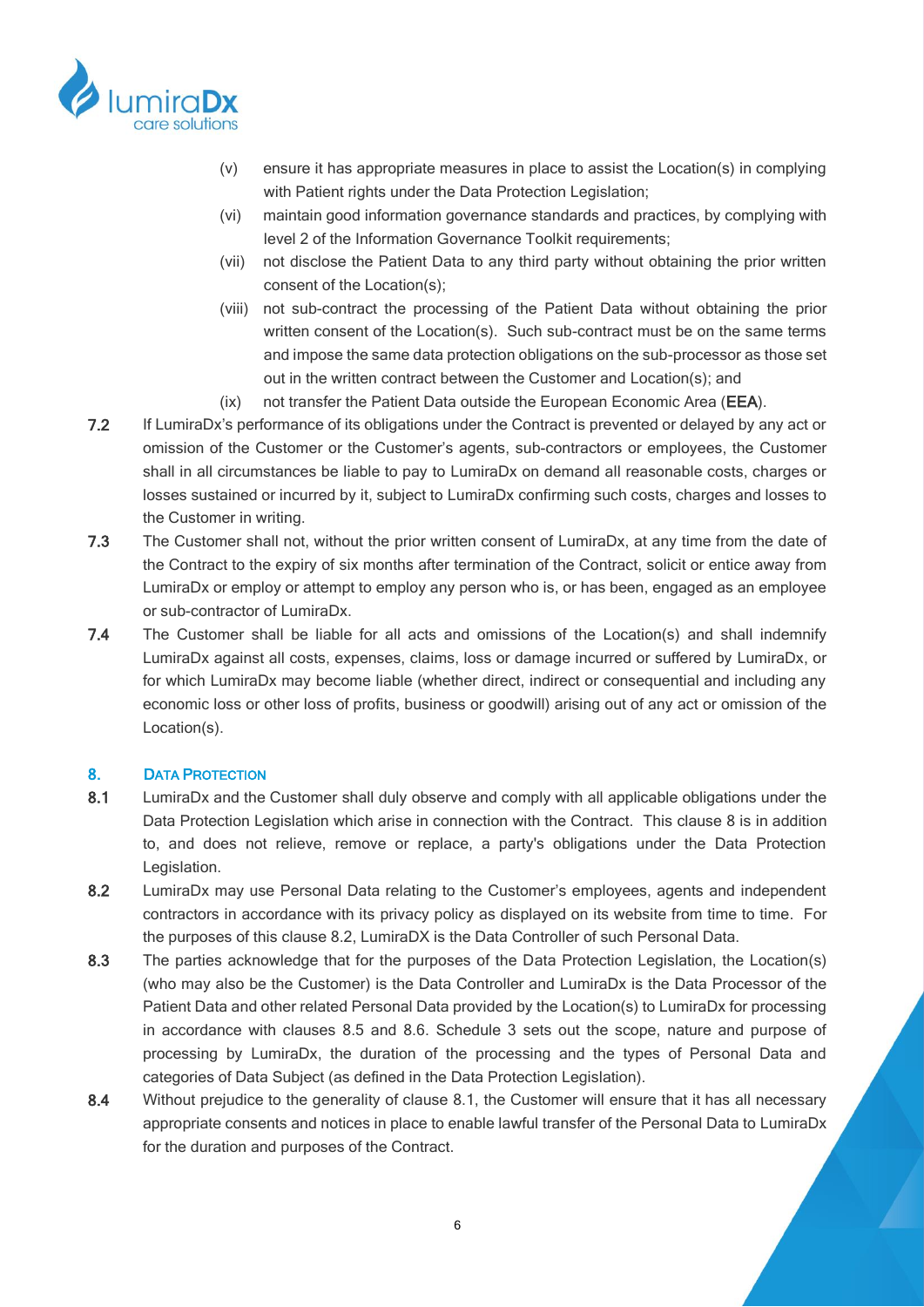

- (v) ensure it has appropriate measures in place to assist the Location(s) in complying with Patient rights under the Data Protection Legislation;
- (vi) maintain good information governance standards and practices, by complying with level 2 of the Information Governance Toolkit requirements;
- (vii) not disclose the Patient Data to any third party without obtaining the prior written consent of the Location(s);
- (viii) not sub-contract the processing of the Patient Data without obtaining the prior written consent of the Location(s). Such sub-contract must be on the same terms and impose the same data protection obligations on the sub-processor as those set out in the written contract between the Customer and Location(s); and
- (ix) not transfer the Patient Data outside the European Economic Area (EEA).
- 7.2 If LumiraDx's performance of its obligations under the Contract is prevented or delayed by any act or omission of the Customer or the Customer's agents, sub-contractors or employees, the Customer shall in all circumstances be liable to pay to LumiraDx on demand all reasonable costs, charges or losses sustained or incurred by it, subject to LumiraDx confirming such costs, charges and losses to the Customer in writing.
- 7.3 The Customer shall not, without the prior written consent of LumiraDx, at any time from the date of the Contract to the expiry of six months after termination of the Contract, solicit or entice away from LumiraDx or employ or attempt to employ any person who is, or has been, engaged as an employee or sub-contractor of LumiraDx.
- 7.4 The Customer shall be liable for all acts and omissions of the Location(s) and shall indemnify LumiraDx against all costs, expenses, claims, loss or damage incurred or suffered by LumiraDx, or for which LumiraDx may become liable (whether direct, indirect or consequential and including any economic loss or other loss of profits, business or goodwill) arising out of any act or omission of the Location(s).

# <span id="page-5-0"></span>8. DATA PROTECTION

- <span id="page-5-2"></span>8.1 LumiraDx and the Customer shall duly observe and comply with all applicable obligations under the Data Protection Legislation which arise in connection with the Contract. This clause [8](#page-5-0) is in addition to, and does not relieve, remove or replace, a party's obligations under the Data Protection Legislation.
- <span id="page-5-1"></span>8.2 LumiraDx may use Personal Data relating to the Customer's employees, agents and independent contractors in accordance with its privacy policy as displayed on its website from time to time. For the purposes of this clause [8.2,](#page-5-1) LumiraDX is the Data Controller of such Personal Data.
- 8.3 The parties acknowledge that for the purposes of the Data Protection Legislation, the Location(s) (who may also be the Customer) is the Data Controller and LumiraDx is the Data Processor of the Patient Data and other related Personal Data provided by the Location(s) to LumiraDx for processing in accordance with clauses [8.5](#page-6-0) and [8.6.](#page-6-1) Schedule 3 sets out the scope, nature and purpose of processing by LumiraDx, the duration of the processing and the types of Personal Data and categories of Data Subject (as defined in the Data Protection Legislation).
- 8.4 Without prejudice to the generality of clause [8.1,](#page-5-2) the Customer will ensure that it has all necessary appropriate consents and notices in place to enable lawful transfer of the Personal Data to LumiraDx for the duration and purposes of the Contract.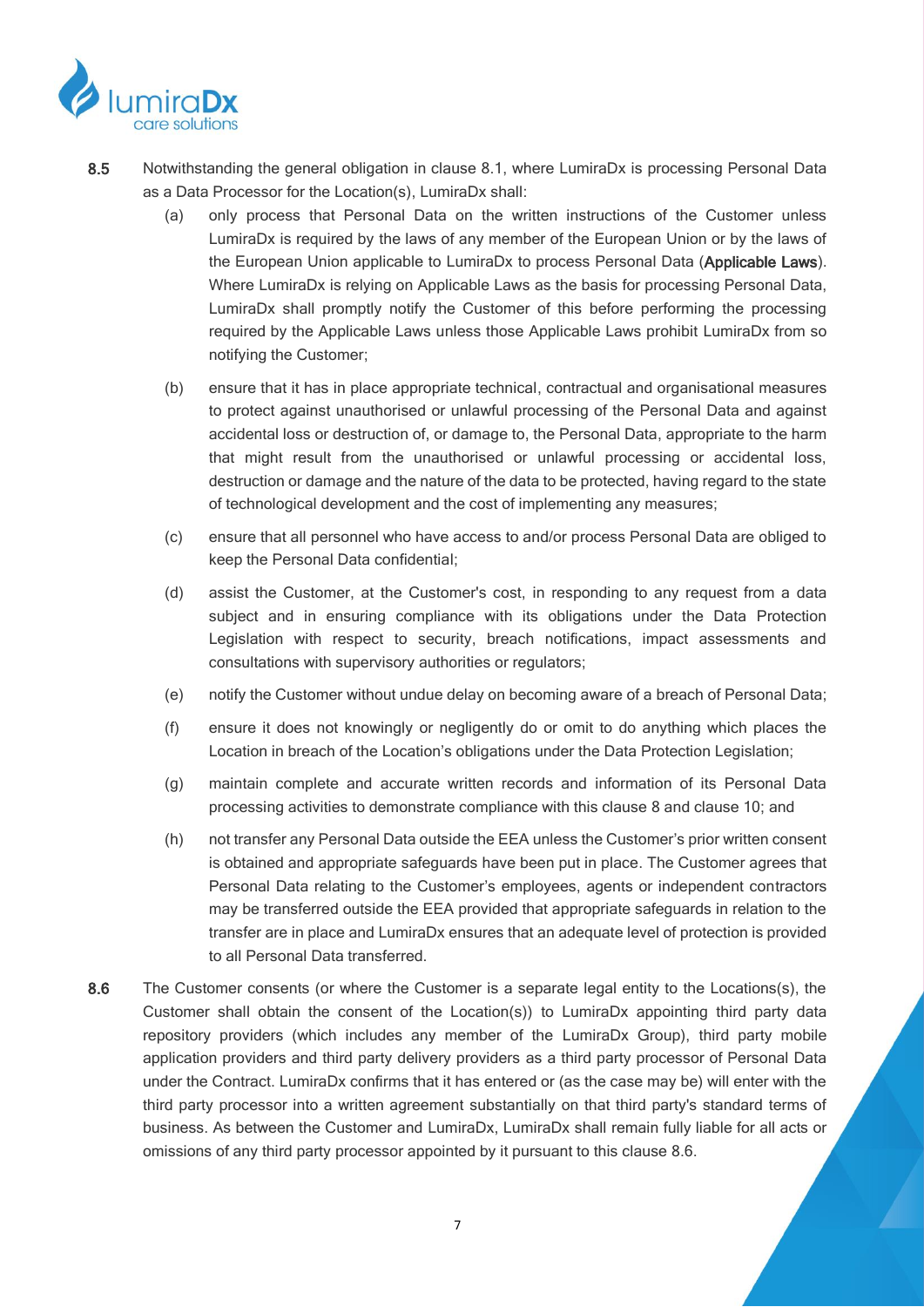

- <span id="page-6-0"></span>8.5 Notwithstanding the general obligation in clause [8.1,](#page-5-2) where LumiraDx is processing Personal Data as a Data Processor for the Location(s), LumiraDx shall:
	- (a) only process that Personal Data on the written instructions of the Customer unless LumiraDx is required by the laws of any member of the European Union or by the laws of the European Union applicable to LumiraDx to process Personal Data (Applicable Laws). Where LumiraDx is relying on Applicable Laws as the basis for processing Personal Data, LumiraDx shall promptly notify the Customer of this before performing the processing required by the Applicable Laws unless those Applicable Laws prohibit LumiraDx from so notifying the Customer;
	- (b) ensure that it has in place appropriate technical, contractual and organisational measures to protect against unauthorised or unlawful processing of the Personal Data and against accidental loss or destruction of, or damage to, the Personal Data, appropriate to the harm that might result from the unauthorised or unlawful processing or accidental loss, destruction or damage and the nature of the data to be protected, having regard to the state of technological development and the cost of implementing any measures;
	- (c) ensure that all personnel who have access to and/or process Personal Data are obliged to keep the Personal Data confidential;
	- (d) assist the Customer, at the Customer's cost, in responding to any request from a data subject and in ensuring compliance with its obligations under the Data Protection Legislation with respect to security, breach notifications, impact assessments and consultations with supervisory authorities or regulators;
	- (e) notify the Customer without undue delay on becoming aware of a breach of Personal Data;
	- (f) ensure it does not knowingly or negligently do or omit to do anything which places the Location in breach of the Location's obligations under the Data Protection Legislation;
	- (g) maintain complete and accurate written records and information of its Personal Data processing activities to demonstrate compliance with this clause [8](#page-5-0) and clause 10; and
	- (h) not transfer any Personal Data outside the EEA unless the Customer's prior written consent is obtained and appropriate safeguards have been put in place. The Customer agrees that Personal Data relating to the Customer's employees, agents or independent contractors may be transferred outside the EEA provided that appropriate safeguards in relation to the transfer are in place and LumiraDx ensures that an adequate level of protection is provided to all Personal Data transferred.
- <span id="page-6-1"></span>8.6 The Customer consents (or where the Customer is a separate legal entity to the Locations(s), the Customer shall obtain the consent of the Location(s)) to LumiraDx appointing third party data repository providers (which includes any member of the LumiraDx Group), third party mobile application providers and third party delivery providers as a third party processor of Personal Data under the Contract. LumiraDx confirms that it has entered or (as the case may be) will enter with the third party processor into a written agreement substantially on that third party's standard terms of business. As between the Customer and LumiraDx, LumiraDx shall remain fully liable for all acts or omissions of any third party processor appointed by it pursuant to this clause [8.6.](#page-6-1)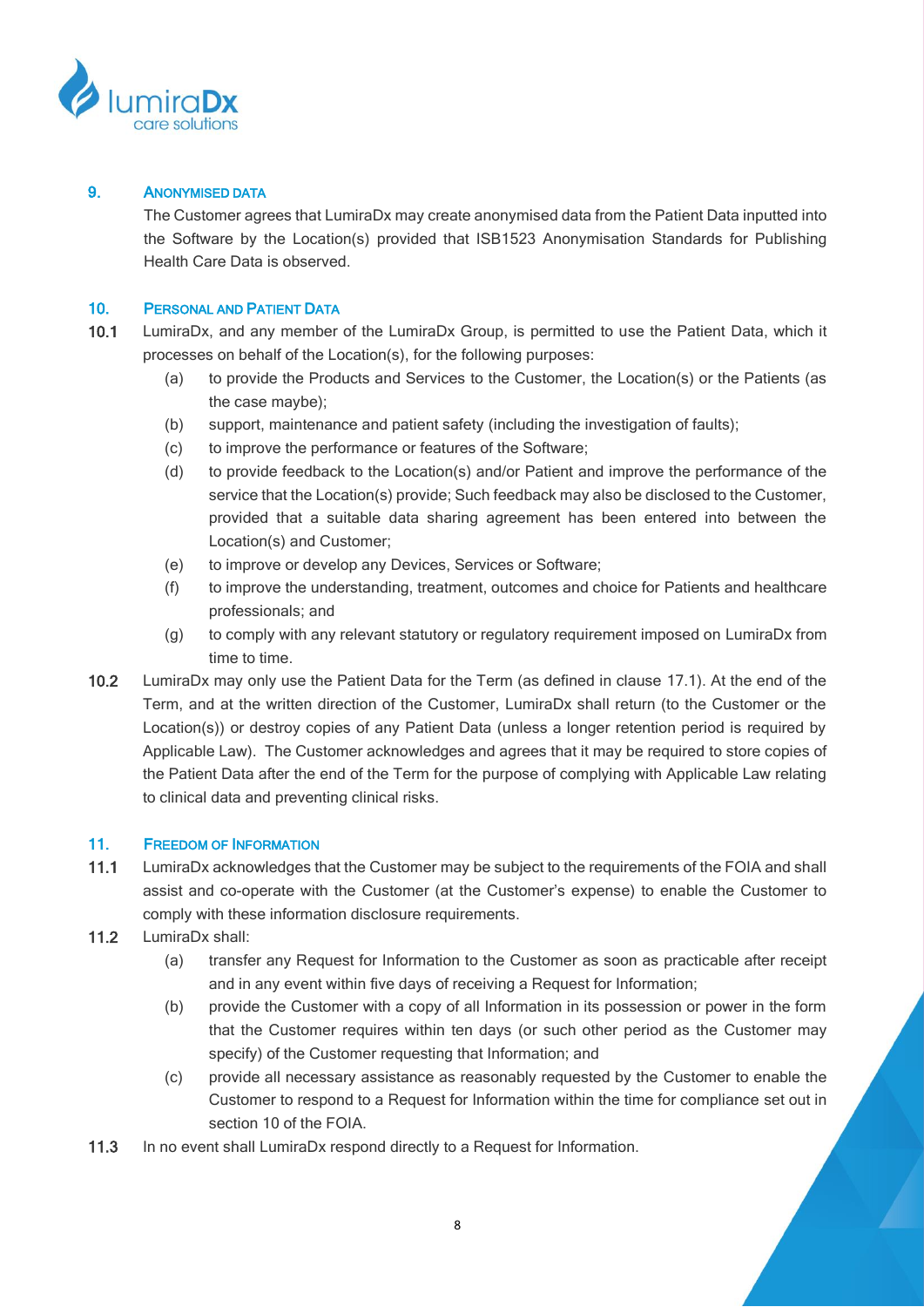

# 9. ANONYMISED DATA

The Customer agrees that LumiraDx may create anonymised data from the Patient Data inputted into the Software by the Location(s) provided that ISB1523 Anonymisation Standards for Publishing Health Care Data is observed.

## 10. PERSONAL AND PATIENT DATA

- 10.1 LumiraDx, and any member of the LumiraDx Group, is permitted to use the Patient Data, which it processes on behalf of the Location(s), for the following purposes:
	- (a) to provide the Products and Services to the Customer, the Location(s) or the Patients (as the case maybe);
	- (b) support, maintenance and patient safety (including the investigation of faults);
	- (c) to improve the performance or features of the Software;
	- (d) to provide feedback to the Location(s) and/or Patient and improve the performance of the service that the Location(s) provide; Such feedback may also be disclosed to the Customer, provided that a suitable data sharing agreement has been entered into between the Location(s) and Customer;
	- (e) to improve or develop any Devices, Services or Software;
	- (f) to improve the understanding, treatment, outcomes and choice for Patients and healthcare professionals; and
	- (g) to comply with any relevant statutory or regulatory requirement imposed on LumiraDx from time to time.
- 10.2 LumiraDx may only use the Patient Data for the Term (as defined in clause [17.1\)](#page-10-0). At the end of the Term, and at the written direction of the Customer, LumiraDx shall return (to the Customer or the Location(s)) or destroy copies of any Patient Data (unless a longer retention period is required by Applicable Law). The Customer acknowledges and agrees that it may be required to store copies of the Patient Data after the end of the Term for the purpose of complying with Applicable Law relating to clinical data and preventing clinical risks.

### <span id="page-7-0"></span>11. FREEDOM OF INFORMATION

- 11.1 LumiraDx acknowledges that the Customer may be subject to the requirements of the FOIA and shall assist and co-operate with the Customer (at the Customer's expense) to enable the Customer to comply with these information disclosure requirements.
- 11.2 LumiraDx shall:
	- (a) transfer any Request for Information to the Customer as soon as practicable after receipt and in any event within five days of receiving a Request for Information;
	- (b) provide the Customer with a copy of all Information in its possession or power in the form that the Customer requires within ten days (or such other period as the Customer may specify) of the Customer requesting that Information; and
	- (c) provide all necessary assistance as reasonably requested by the Customer to enable the Customer to respond to a Request for Information within the time for compliance set out in section 10 of the FOIA.
- 11.3 In no event shall LumiraDx respond directly to a Request for Information.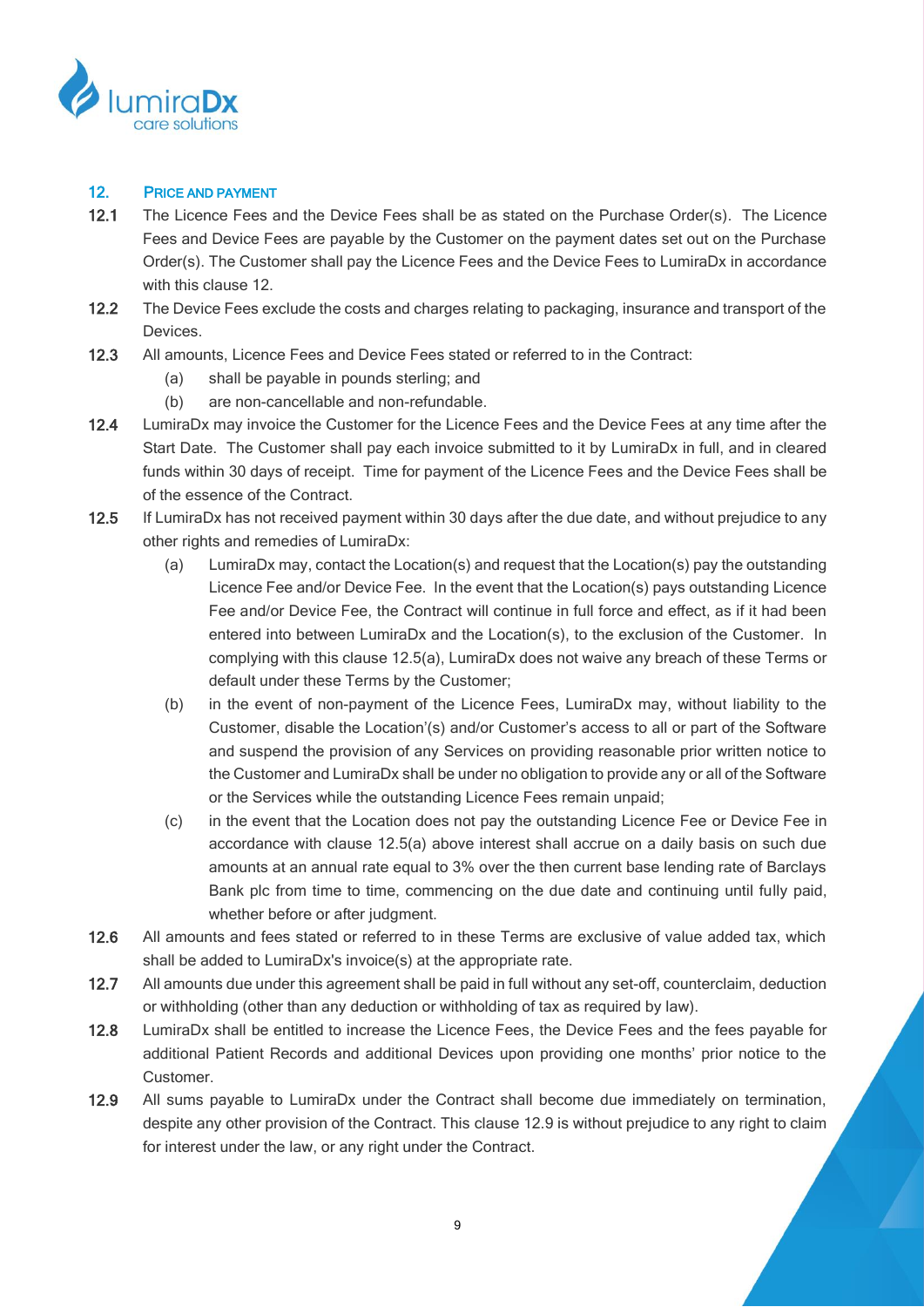

# <span id="page-8-0"></span>12. PRICE AND PAYMENT

- 12.1 The Licence Fees and the Device Fees shall be as stated on the Purchase Order(s). The Licence Fees and Device Fees are payable by the Customer on the payment dates set out on the Purchase Order(s). The Customer shall pay the Licence Fees and the Device Fees to LumiraDx in accordance with this clause [12.](#page-8-0)
- 12.2 The Device Fees exclude the costs and charges relating to packaging, insurance and transport of the Devices.
- 12.3 All amounts, Licence Fees and Device Fees stated or referred to in the Contract:
	- (a) shall be payable in pounds sterling; and
	- (b) are non-cancellable and non-refundable.
- 12.4 LumiraDx may invoice the Customer for the Licence Fees and the Device Fees at any time after the Start Date. The Customer shall pay each invoice submitted to it by LumiraDx in full, and in cleared funds within 30 days of receipt. Time for payment of the Licence Fees and the Device Fees shall be of the essence of the Contract.
- <span id="page-8-1"></span>12.5 If LumiraDx has not received payment within 30 days after the due date, and without prejudice to any other rights and remedies of LumiraDx:
	- (a) LumiraDx may, contact the Location(s) and request that the Location(s) pay the outstanding Licence Fee and/or Device Fee. In the event that the Location(s) pays outstanding Licence Fee and/or Device Fee, the Contract will continue in full force and effect, as if it had been entered into between LumiraDx and the Location(s), to the exclusion of the Customer. In complying with this clause [12.5\(a\),](#page-8-1) LumiraDx does not waive any breach of these Terms or default under these Terms by the Customer;
	- (b) in the event of non-payment of the Licence Fees, LumiraDx may, without liability to the Customer, disable the Location'(s) and/or Customer's access to all or part of the Software and suspend the provision of any Services on providing reasonable prior written notice to the Customer and LumiraDx shall be under no obligation to provide any or all of the Software or the Services while the outstanding Licence Fees remain unpaid;
	- (c) in the event that the Location does not pay the outstanding Licence Fee or Device Fee in accordance with clause [12.5\(a\)](#page-8-1) above interest shall accrue on a daily basis on such due amounts at an annual rate equal to 3% over the then current base lending rate of Barclays Bank plc from time to time, commencing on the due date and continuing until fully paid, whether before or after judgment.
- <span id="page-8-3"></span>12.6 All amounts and fees stated or referred to in these Terms are exclusive of value added tax, which shall be added to LumiraDx's invoice(s) at the appropriate rate.
- 12.7 All amounts due under this agreement shall be paid in full without any set-off, counterclaim, deduction or withholding (other than any deduction or withholding of tax as required by law).
- 12.8 LumiraDx shall be entitled to increase the Licence Fees, the Device Fees and the fees payable for additional Patient Records and additional Devices upon providing one months' prior notice to the Customer.
- <span id="page-8-2"></span>12.9 All sums payable to LumiraDx under the Contract shall become due immediately on termination, despite any other provision of the Contract. This clause [12.9](#page-8-2) is without prejudice to any right to claim for interest under the law, or any right under the Contract.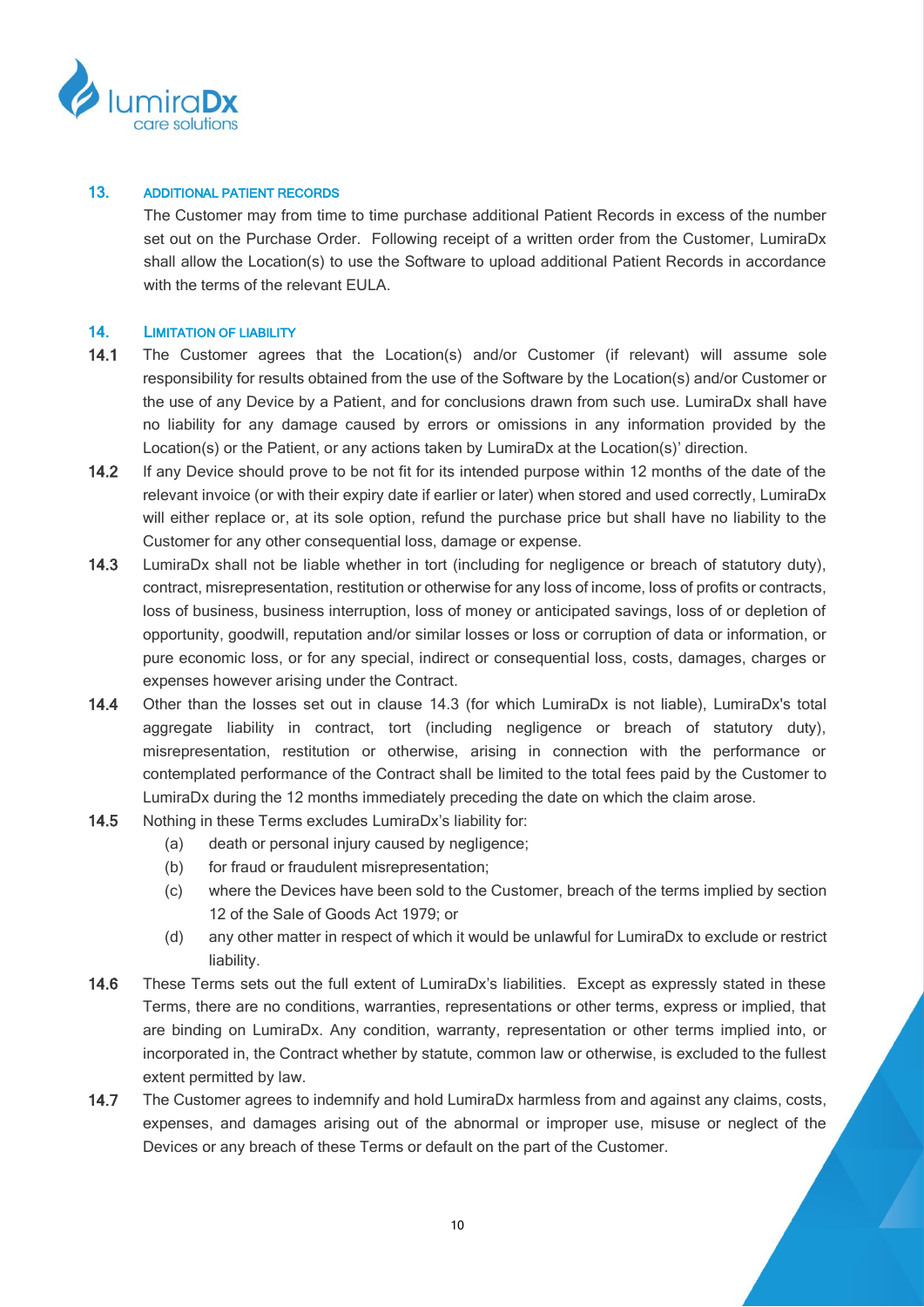

#### 13. ADDITIONAL PATIENT RECORDS

The Customer may from time to time purchase additional Patient Records in excess of the number set out on the Purchase Order. Following receipt of a written order from the Customer, LumiraDx shall allow the Location(s) to use the Software to upload additional Patient Records in accordance with the terms of the relevant EULA.

# 14. LIMITATION OF LIABILITY

- 14.1 The Customer agrees that the Location(s) and/or Customer (if relevant) will assume sole responsibility for results obtained from the use of the Software by the Location(s) and/or Customer or the use of any Device by a Patient, and for conclusions drawn from such use. LumiraDx shall have no liability for any damage caused by errors or omissions in any information provided by the Location(s) or the Patient, or any actions taken by LumiraDx at the Location(s)' direction.
- 14.2 If any Device should prove to be not fit for its intended purpose within 12 months of the date of the relevant invoice (or with their expiry date if earlier or later) when stored and used correctly, LumiraDx will either replace or, at its sole option, refund the purchase price but shall have no liability to the Customer for any other consequential loss, damage or expense.
- 14.3 LumiraDx shall not be liable whether in tort (including for negligence or breach of statutory duty), contract, misrepresentation, restitution or otherwise for any loss of income, loss of profits or contracts, loss of business, business interruption, loss of money or anticipated savings, loss of or depletion of opportunity, goodwill, reputation and/or similar losses or loss or corruption of data or information, or pure economic loss, or for any special, indirect or consequential loss, costs, damages, charges or expenses however arising under the Contract.
- 14.4 Other than the losses set out in clause 14.3 (for which LumiraDx is not liable), LumiraDx's total aggregate liability in contract, tort (including negligence or breach of statutory duty), misrepresentation, restitution or otherwise, arising in connection with the performance or contemplated performance of the Contract shall be limited to the total fees paid by the Customer to LumiraDx during the 12 months immediately preceding the date on which the claim arose.
- 14.5 Nothing in these Terms excludes LumiraDx's liability for:
	- (a) death or personal injury caused by negligence;
	- (b) for fraud or fraudulent misrepresentation;
	- (c) where the Devices have been sold to the Customer, breach of the terms implied by section 12 of the Sale of Goods Act 1979; or
	- (d) any other matter in respect of which it would be unlawful for LumiraDx to exclude or restrict liability.
- 14.6 These Terms sets out the full extent of LumiraDx's liabilities. Except as expressly stated in these Terms, there are no conditions, warranties, representations or other terms, express or implied, that are binding on LumiraDx. Any condition, warranty, representation or other terms implied into, or incorporated in, the Contract whether by statute, common law or otherwise, is excluded to the fullest extent permitted by law.
- 14.7 The Customer agrees to indemnify and hold LumiraDx harmless from and against any claims, costs, expenses, and damages arising out of the abnormal or improper use, misuse or neglect of the Devices or any breach of these Terms or default on the part of the Customer.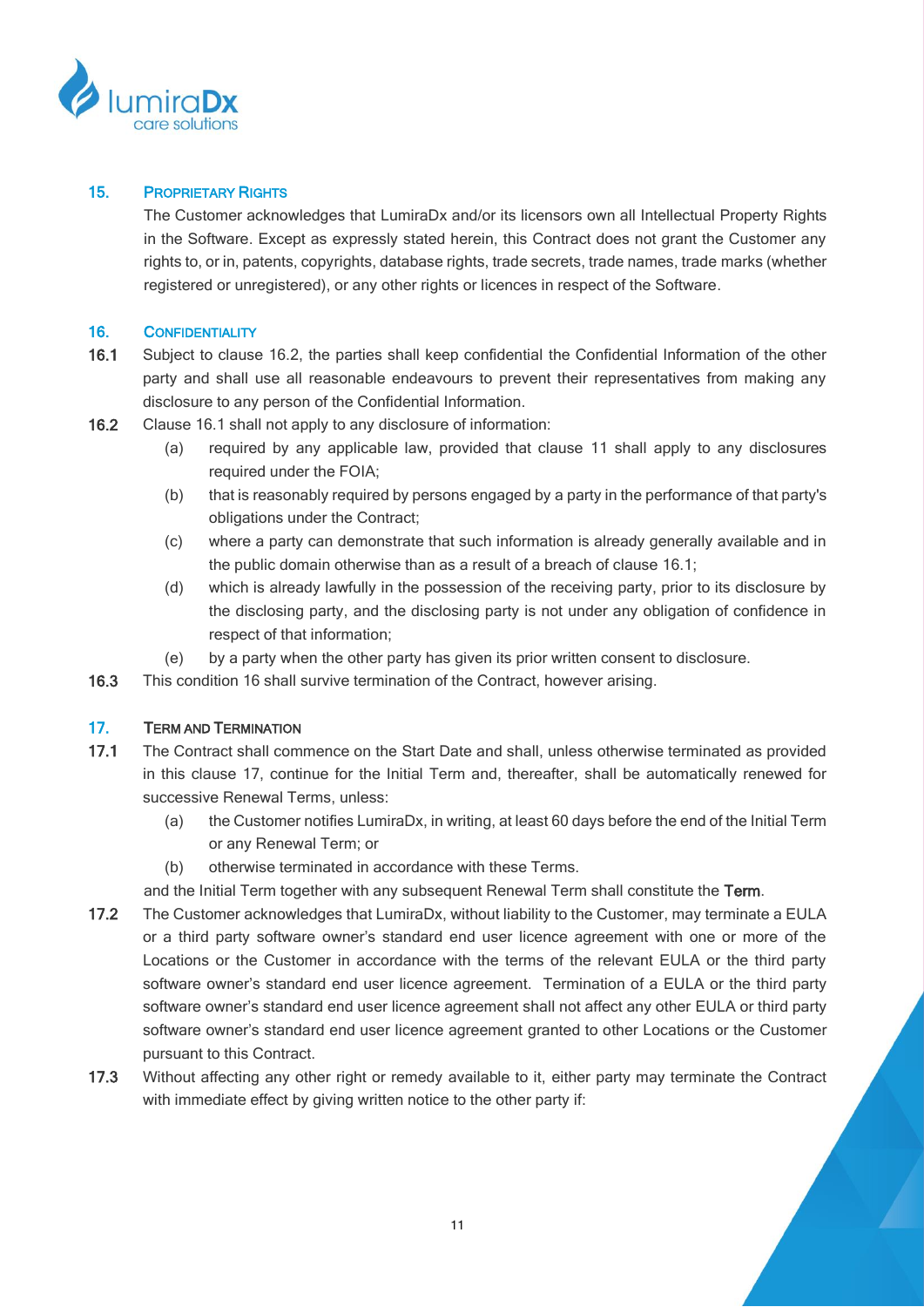

# 15. PROPRIETARY RIGHTS

The Customer acknowledges that LumiraDx and/or its licensors own all Intellectual Property Rights in the Software. Except as expressly stated herein, this Contract does not grant the Customer any rights to, or in, patents, copyrights, database rights, trade secrets, trade names, trade marks (whether registered or unregistered), or any other rights or licences in respect of the Software.

# <span id="page-10-3"></span>16. CONFIDENTIALITY

- <span id="page-10-2"></span>16.1 Subject to clause [16.2,](#page-10-1) the parties shall keep confidential the Confidential Information of the other party and shall use all reasonable endeavours to prevent their representatives from making any disclosure to any person of the Confidential Information.
- <span id="page-10-1"></span>16.2 Clause [16.1 s](#page-10-2)hall not apply to any disclosure of information:
	- (a) required by any applicable law, provided that clause [11](#page-7-0) shall apply to any disclosures required under the FOIA;
	- (b) that is reasonably required by persons engaged by a party in the performance of that party's obligations under the Contract;
	- (c) where a party can demonstrate that such information is already generally available and in the public domain otherwise than as a result of a breach of clause [16.1;](#page-10-2)
	- (d) which is already lawfully in the possession of the receiving party, prior to its disclosure by the disclosing party, and the disclosing party is not under any obligation of confidence in respect of that information;
	- (e) by a party when the other party has given its prior written consent to disclosure.
- 16.3 This condition [16](#page-10-3) shall survive termination of the Contract, however arising.

# <span id="page-10-4"></span>17. TERM AND TERMINATION

- <span id="page-10-0"></span>17.1 The Contract shall commence on the Start Date and shall, unless otherwise terminated as provided in this clause [17,](#page-10-4) continue for the Initial Term and, thereafter, shall be automatically renewed for successive Renewal Terms, unless:
	- (a) the Customer notifies LumiraDx, in writing, at least 60 days before the end of the Initial Term or any Renewal Term; or
	- (b) otherwise terminated in accordance with these Terms.
	- and the Initial Term together with any subsequent Renewal Term shall constitute the Term.
- 17.2 The Customer acknowledges that LumiraDx, without liability to the Customer, may terminate a EULA or a third party software owner's standard end user licence agreement with one or more of the Locations or the Customer in accordance with the terms of the relevant EULA or the third party software owner's standard end user licence agreement. Termination of a EULA or the third party software owner's standard end user licence agreement shall not affect any other EULA or third party software owner's standard end user licence agreement granted to other Locations or the Customer pursuant to this Contract.
- 17.3 Without affecting any other right or remedy available to it, either party may terminate the Contract with immediate effect by giving written notice to the other party if: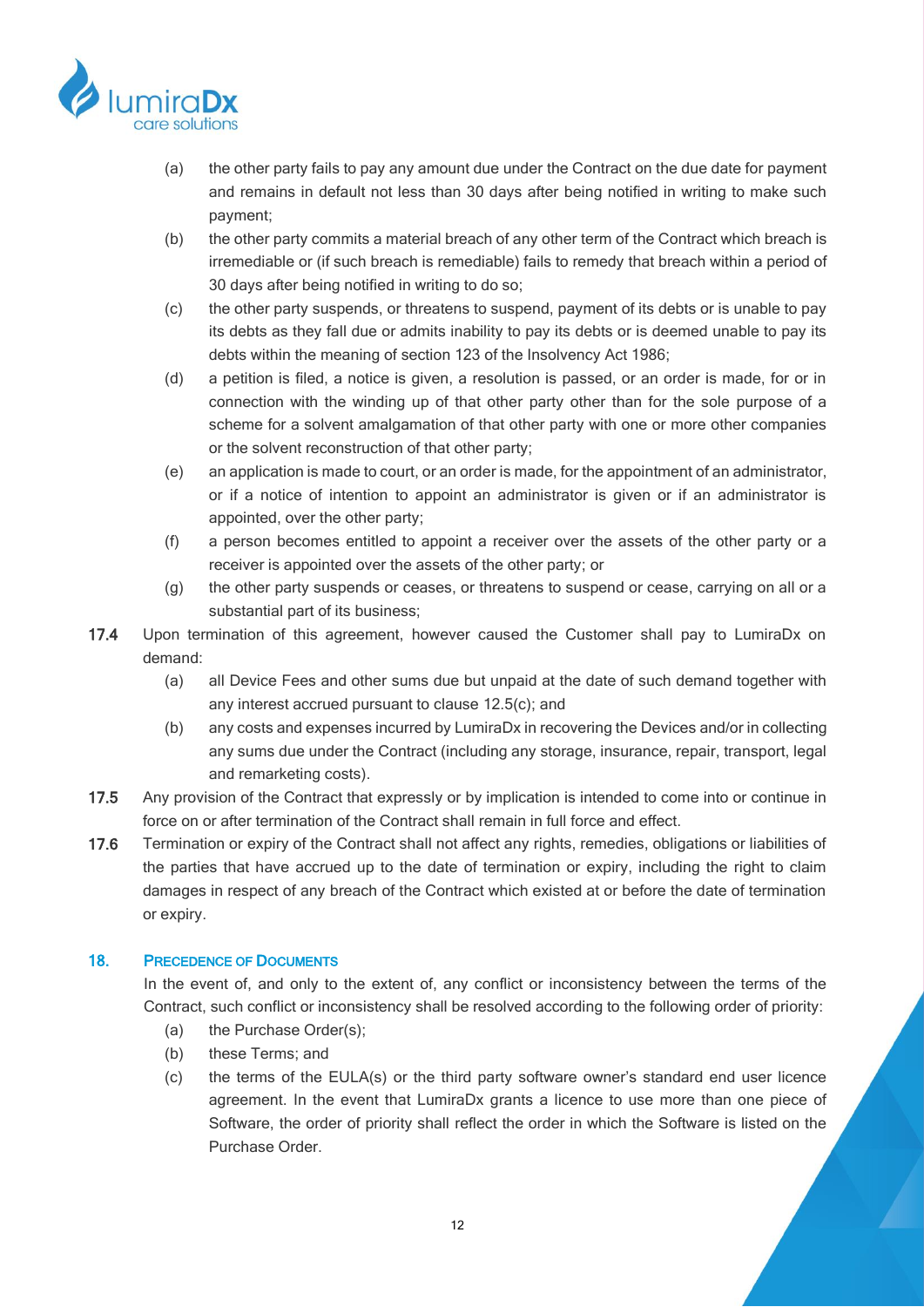

- (a) the other party fails to pay any amount due under the Contract on the due date for payment and remains in default not less than 30 days after being notified in writing to make such payment;
- (b) the other party commits a material breach of any other term of the Contract which breach is irremediable or (if such breach is remediable) fails to remedy that breach within a period of 30 days after being notified in writing to do so;
- <span id="page-11-0"></span>(c) the other party suspends, or threatens to suspend, payment of its debts or is unable to pay its debts as they fall due or admits inability to pay its debts or is deemed unable to pay its debts within the meaning of section 123 of the Insolvency Act 1986;
- <span id="page-11-1"></span>(d) a petition is filed, a notice is given, a resolution is passed, or an order is made, for or in connection with the winding up of that other party other than for the sole purpose of a scheme for a solvent amalgamation of that other party with one or more other companies or the solvent reconstruction of that other party;
- <span id="page-11-2"></span>(e) an application is made to court, or an order is made, for the appointment of an administrator, or if a notice of intention to appoint an administrator is given or if an administrator is appointed, over the other party;
- <span id="page-11-3"></span>(f) a person becomes entitled to appoint a receiver over the assets of the other party or a receiver is appointed over the assets of the other party; or
- (g) the other party suspends or ceases, or threatens to suspend or cease, carrying on all or a substantial part of its business;
- <span id="page-11-4"></span>17.4 Upon termination of this agreement, however caused the Customer shall pay to LumiraDx on demand:
	- (a) all Device Fees and other sums due but unpaid at the date of such demand together with any interest accrued pursuant to clause [12.5\(c\);](#page-8-3) and
	- (b) any costs and expenses incurred by LumiraDx in recovering the Devices and/or in collecting any sums due under the Contract (including any storage, insurance, repair, transport, legal and remarketing costs).
- 17.5 Any provision of the Contract that expressly or by implication is intended to come into or continue in force on or after termination of the Contract shall remain in full force and effect.
- 17.6 Termination or expiry of the Contract shall not affect any rights, remedies, obligations or liabilities of the parties that have accrued up to the date of termination or expiry, including the right to claim damages in respect of any breach of the Contract which existed at or before the date of termination or expiry.

### 18. PRECEDENCE OF DOCUMENTS

In the event of, and only to the extent of, any conflict or inconsistency between the terms of the Contract, such conflict or inconsistency shall be resolved according to the following order of priority:

- (a) the Purchase Order(s);
- (b) these Terms; and
- (c) the terms of the EULA(s) or the third party software owner's standard end user licence agreement. In the event that LumiraDx grants a licence to use more than one piece of Software, the order of priority shall reflect the order in which the Software is listed on the Purchase Order.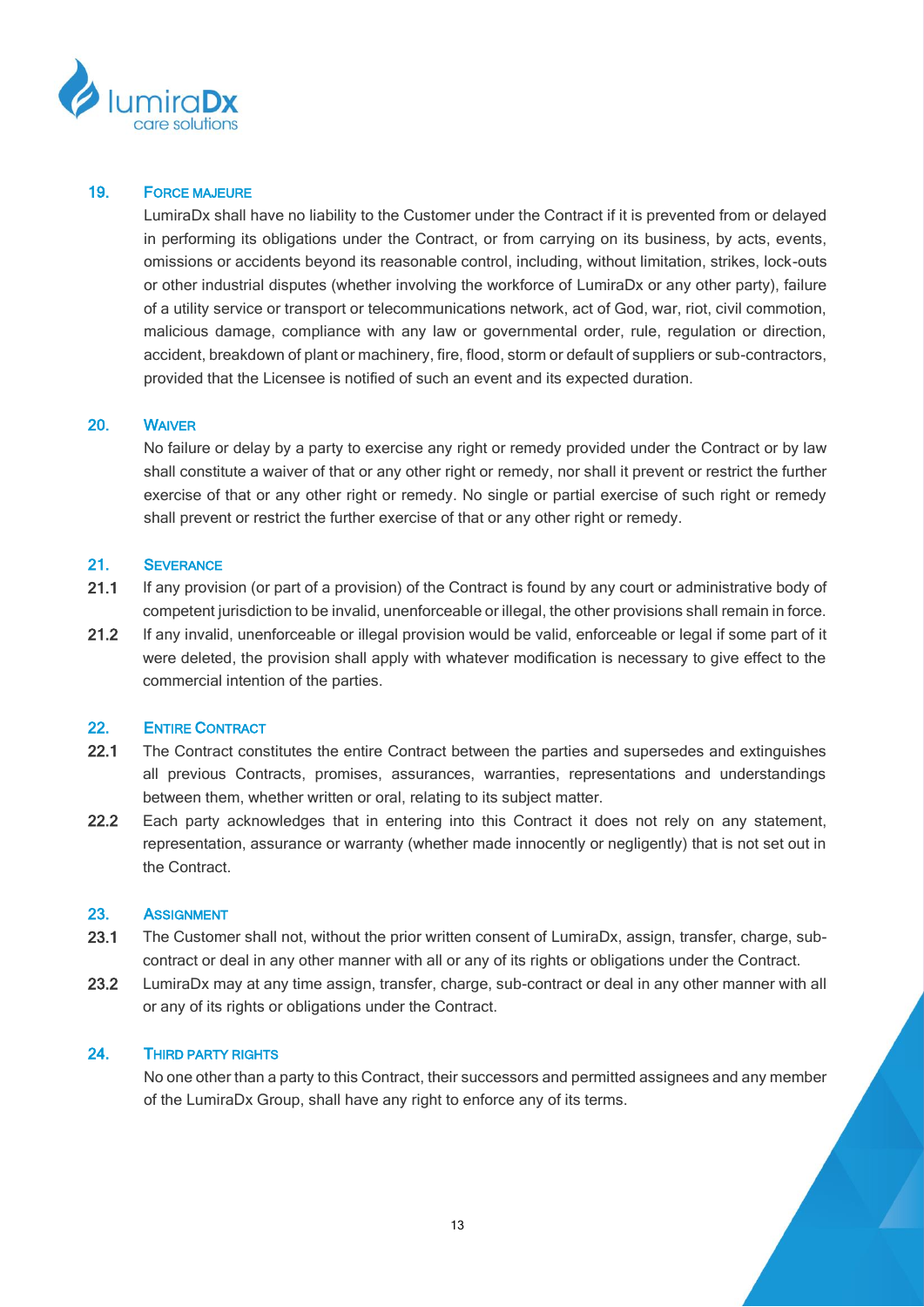

#### 19. FORCE MAJEURE

LumiraDx shall have no liability to the Customer under the Contract if it is prevented from or delayed in performing its obligations under the Contract, or from carrying on its business, by acts, events, omissions or accidents beyond its reasonable control, including, without limitation, strikes, lock-outs or other industrial disputes (whether involving the workforce of LumiraDx or any other party), failure of a utility service or transport or telecommunications network, act of God, war, riot, civil commotion, malicious damage, compliance with any law or governmental order, rule, regulation or direction, accident, breakdown of plant or machinery, fire, flood, storm or default of suppliers or sub-contractors, provided that the Licensee is notified of such an event and its expected duration.

#### 20. WAIVER

No failure or delay by a party to exercise any right or remedy provided under the Contract or by law shall constitute a waiver of that or any other right or remedy, nor shall it prevent or restrict the further exercise of that or any other right or remedy. No single or partial exercise of such right or remedy shall prevent or restrict the further exercise of that or any other right or remedy.

#### 21. SEVERANCE

- 21.1 If any provision (or part of a provision) of the Contract is found by any court or administrative body of competent jurisdiction to be invalid, unenforceable or illegal, the other provisions shall remain in force.
- 21.2 If any invalid, unenforceable or illegal provision would be valid, enforceable or legal if some part of it were deleted, the provision shall apply with whatever modification is necessary to give effect to the commercial intention of the parties.

#### 22. ENTIRE CONTRACT

- 22.1 The Contract constitutes the entire Contract between the parties and supersedes and extinguishes all previous Contracts, promises, assurances, warranties, representations and understandings between them, whether written or oral, relating to its subject matter.
- 22.2 Each party acknowledges that in entering into this Contract it does not rely on any statement, representation, assurance or warranty (whether made innocently or negligently) that is not set out in the Contract.

#### 23. ASSIGNMENT

- 23.1 The Customer shall not, without the prior written consent of LumiraDx, assign, transfer, charge, subcontract or deal in any other manner with all or any of its rights or obligations under the Contract.
- 23.2 LumiraDx may at any time assign, transfer, charge, sub-contract or deal in any other manner with all or any of its rights or obligations under the Contract.

### 24. THIRD PARTY RIGHTS

No one other than a party to this Contract, their successors and permitted assignees and any member of the LumiraDx Group, shall have any right to enforce any of its terms.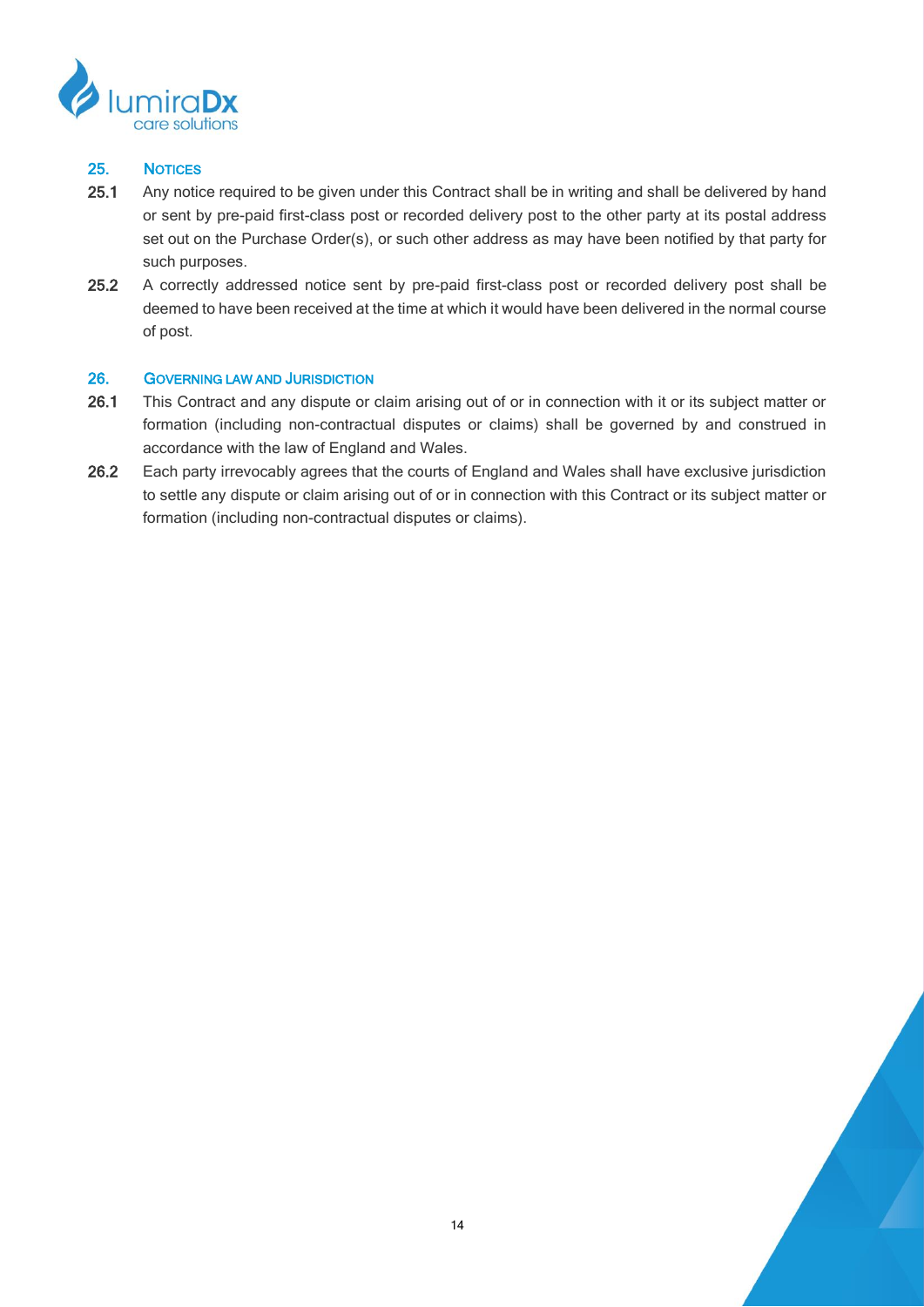

# 25. NOTICES

- 25.1 Any notice required to be given under this Contract shall be in writing and shall be delivered by hand or sent by pre-paid first-class post or recorded delivery post to the other party at its postal address set out on the Purchase Order(s), or such other address as may have been notified by that party for such purposes.
- 25.2 A correctly addressed notice sent by pre-paid first-class post or recorded delivery post shall be deemed to have been received at the time at which it would have been delivered in the normal course of post.

### 26. GOVERNING LAW AND JURISDICTION

- 26.1 This Contract and any dispute or claim arising out of or in connection with it or its subject matter or formation (including non-contractual disputes or claims) shall be governed by and construed in accordance with the law of England and Wales.
- 26.2 Each party irrevocably agrees that the courts of England and Wales shall have exclusive jurisdiction to settle any dispute or claim arising out of or in connection with this Contract or its subject matter or formation (including non-contractual disputes or claims).

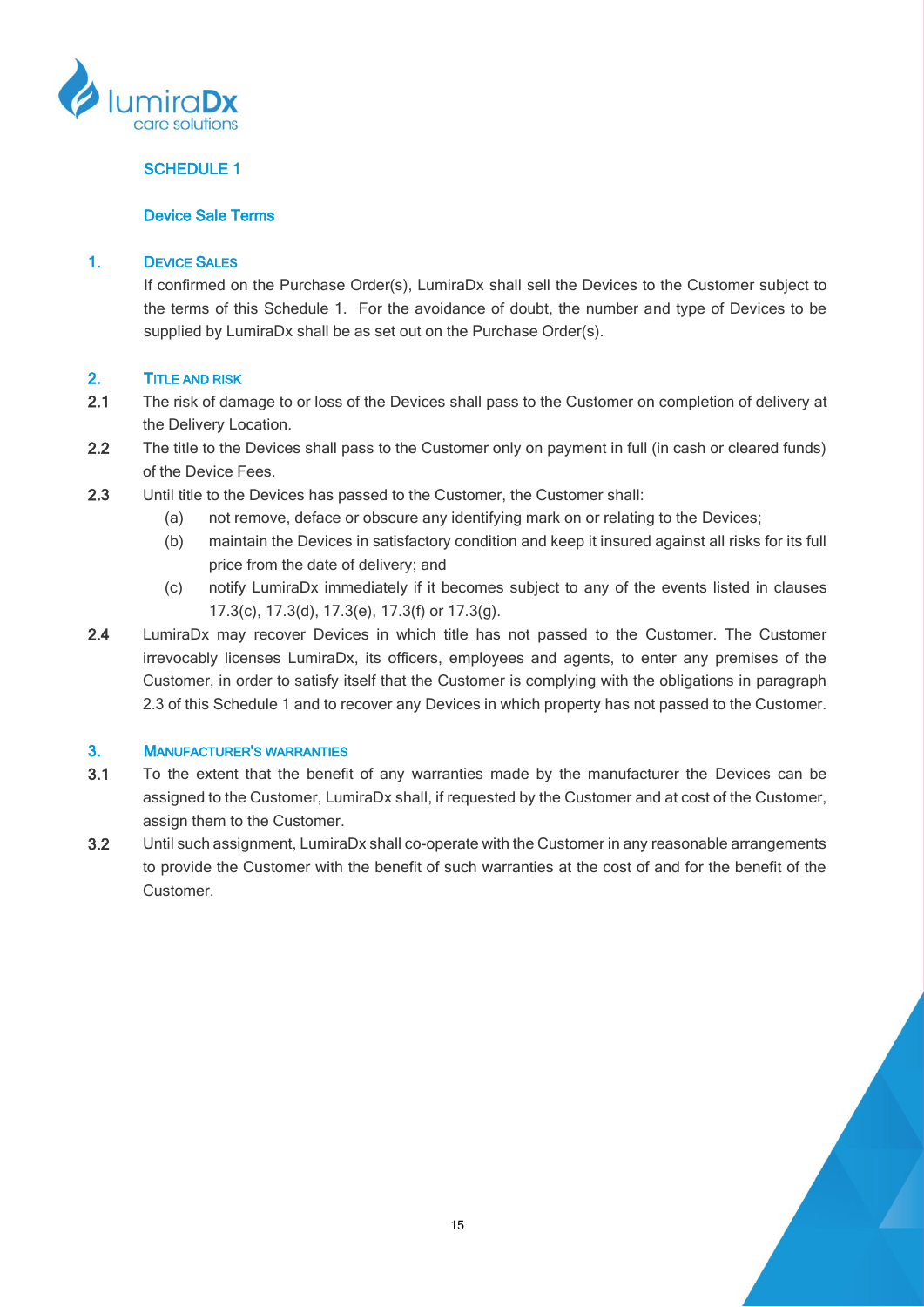

# SCHEDULE 1

### Device Sale Terms

### 1. DEVICE SALES

If confirmed on the Purchase Order(s), LumiraDx shall sell the Devices to the Customer subject to the terms of this Schedule 1. For the avoidance of doubt, the number and type of Devices to be supplied by LumiraDx shall be as set out on the Purchase Order(s).

### 2. TITLE AND RISK

- 2.1 The risk of damage to or loss of the Devices shall pass to the Customer on completion of delivery at the Delivery Location.
- 2.2 The title to the Devices shall pass to the Customer only on payment in full (in cash or cleared funds) of the Device Fees.
- <span id="page-14-0"></span>2.3 Until title to the Devices has passed to the Customer, the Customer shall:
	- (a) not remove, deface or obscure any identifying mark on or relating to the Devices;
	- (b) maintain the Devices in satisfactory condition and keep it insured against all risks for its full price from the date of delivery; and
	- (c) notify LumiraDx immediately if it becomes subject to any of the events listed in clauses [17.3\(c\),](#page-11-0) [17.3\(d\),](#page-11-1) [17.3\(e\),](#page-11-2) [17.3\(f\)](#page-11-3) or [17.3\(g\).](#page-11-4)
- 2.4 LumiraDx may recover Devices in which title has not passed to the Customer. The Customer irrevocably licenses LumiraDx, its officers, employees and agents, to enter any premises of the Customer, in order to satisfy itself that the Customer is complying with the obligations in paragraph [2.3](#page-14-0) of this Schedule 1 and to recover any Devices in which property has not passed to the Customer.

### 3. MANUFACTURER'S WARRANTIES

- 3.1 To the extent that the benefit of any warranties made by the manufacturer the Devices can be assigned to the Customer, LumiraDx shall, if requested by the Customer and at cost of the Customer, assign them to the Customer.
- 3.2 Until such assignment, LumiraDx shall co-operate with the Customer in any reasonable arrangements to provide the Customer with the benefit of such warranties at the cost of and for the benefit of the Customer.

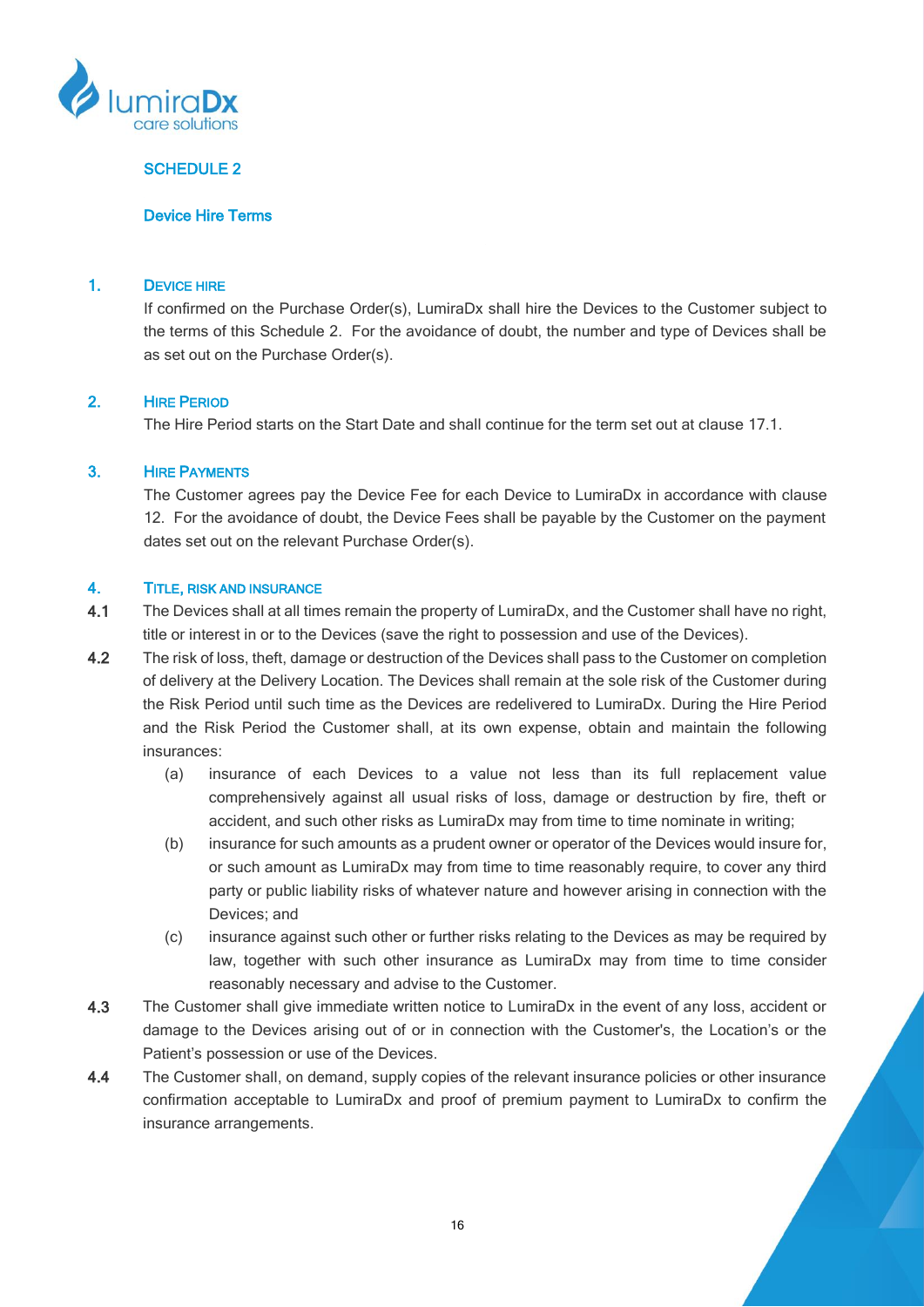

## SCHEDULE 2

#### Device Hire Terms

#### 1. DEVICE HIRE

If confirmed on the Purchase Order(s), LumiraDx shall hire the Devices to the Customer subject to the terms of this Schedule 2. For the avoidance of doubt, the number and type of Devices shall be as set out on the Purchase Order(s).

### <span id="page-15-0"></span>2. HIRE PERIOD

The Hire Period starts on the Start Date and shall continue for the term set out at clause [17.1.](#page-10-0)

#### 3. HIRE PAYMENTS

The Customer agrees pay the Device Fee for each Device to LumiraDx in accordance with clause [12.](#page-8-0) For the avoidance of doubt, the Device Fees shall be payable by the Customer on the payment dates set out on the relevant Purchase Order(s).

#### <span id="page-15-1"></span>4. TITLE, RISK AND INSURANCE

- 4.1 The Devices shall at all times remain the property of LumiraDx, and the Customer shall have no right, title or interest in or to the Devices (save the right to possession and use of the Devices).
- 4.2 The risk of loss, theft, damage or destruction of the Devices shall pass to the Customer on completion of delivery at the Delivery Location. The Devices shall remain at the sole risk of the Customer during the Risk Period until such time as the Devices are redelivered to LumiraDx. During the Hire Period and the Risk Period the Customer shall, at its own expense, obtain and maintain the following insurances:
	- (a) insurance of each Devices to a value not less than its full replacement value comprehensively against all usual risks of loss, damage or destruction by fire, theft or accident, and such other risks as LumiraDx may from time to time nominate in writing;
	- (b) insurance for such amounts as a prudent owner or operator of the Devices would insure for, or such amount as LumiraDx may from time to time reasonably require, to cover any third party or public liability risks of whatever nature and however arising in connection with the Devices; and
	- (c) insurance against such other or further risks relating to the Devices as may be required by law, together with such other insurance as LumiraDx may from time to time consider reasonably necessary and advise to the Customer.
- 4.3 The Customer shall give immediate written notice to LumiraDx in the event of any loss, accident or damage to the Devices arising out of or in connection with the Customer's, the Location's or the Patient's possession or use of the Devices.
- 4.4 The Customer shall, on demand, supply copies of the relevant insurance policies or other insurance confirmation acceptable to LumiraDx and proof of premium payment to LumiraDx to confirm the insurance arrangements.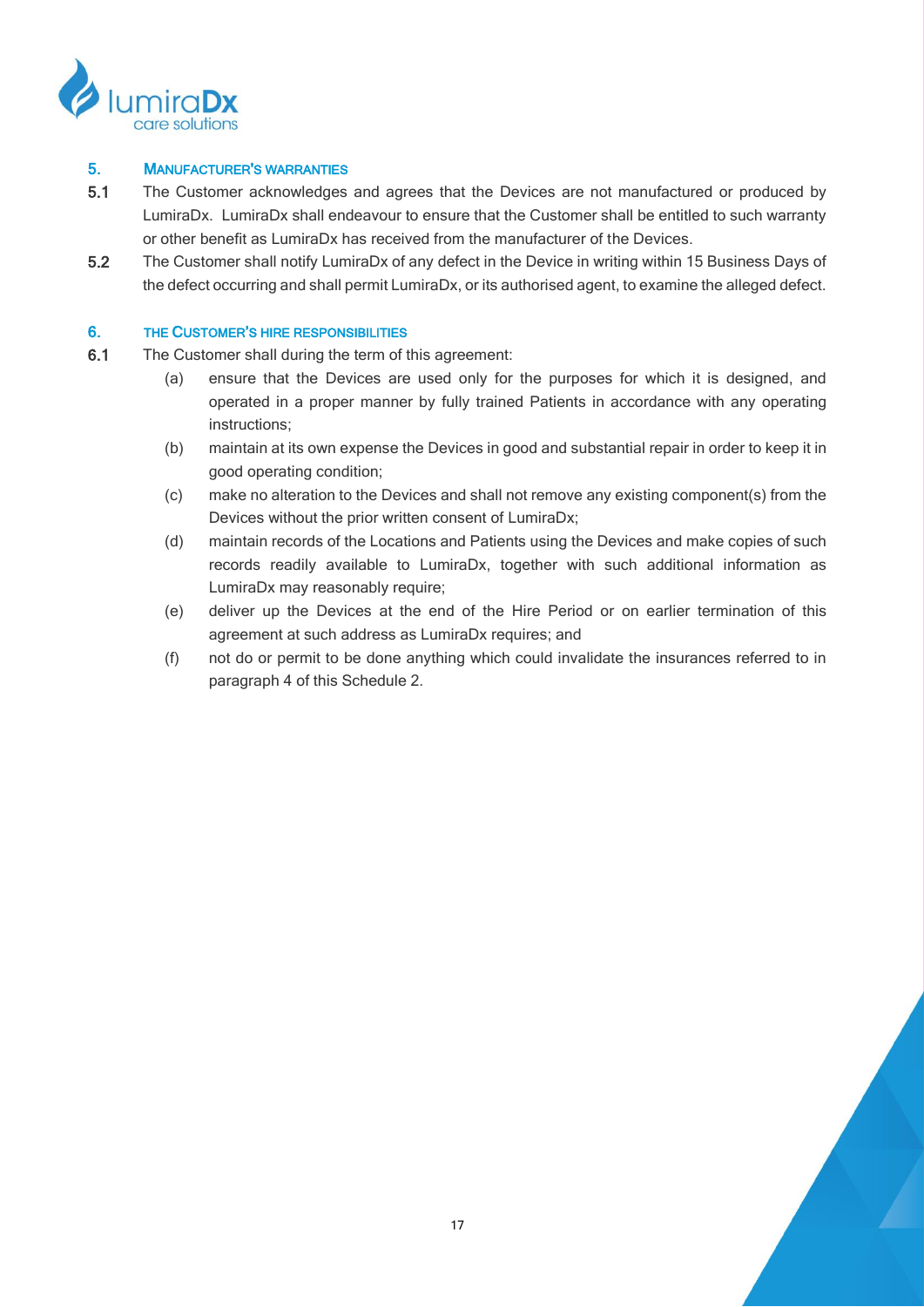

## 5. MANUFACTURER'S WARRANTIES

- 5.1 The Customer acknowledges and agrees that the Devices are not manufactured or produced by LumiraDx. LumiraDx shall endeavour to ensure that the Customer shall be entitled to such warranty or other benefit as LumiraDx has received from the manufacturer of the Devices.
- 5.2 The Customer shall notify LumiraDx of any defect in the Device in writing within 15 Business Days of the defect occurring and shall permit LumiraDx, or its authorised agent, to examine the alleged defect.

## 6. THE CUSTOMER'S HIRE RESPONSIBILITIES

- 6.1 The Customer shall during the term of this agreement:
	- (a) ensure that the Devices are used only for the purposes for which it is designed, and operated in a proper manner by fully trained Patients in accordance with any operating instructions;
	- (b) maintain at its own expense the Devices in good and substantial repair in order to keep it in good operating condition;
	- (c) make no alteration to the Devices and shall not remove any existing component(s) from the Devices without the prior written consent of LumiraDx;
	- (d) maintain records of the Locations and Patients using the Devices and make copies of such records readily available to LumiraDx, together with such additional information as LumiraDx may reasonably require;
	- (e) deliver up the Devices at the end of the Hire Period or on earlier termination of this agreement at such address as LumiraDx requires; and
	- (f) not do or permit to be done anything which could invalidate the insurances referred to in paragraph [4](#page-15-1) of this Schedule 2.

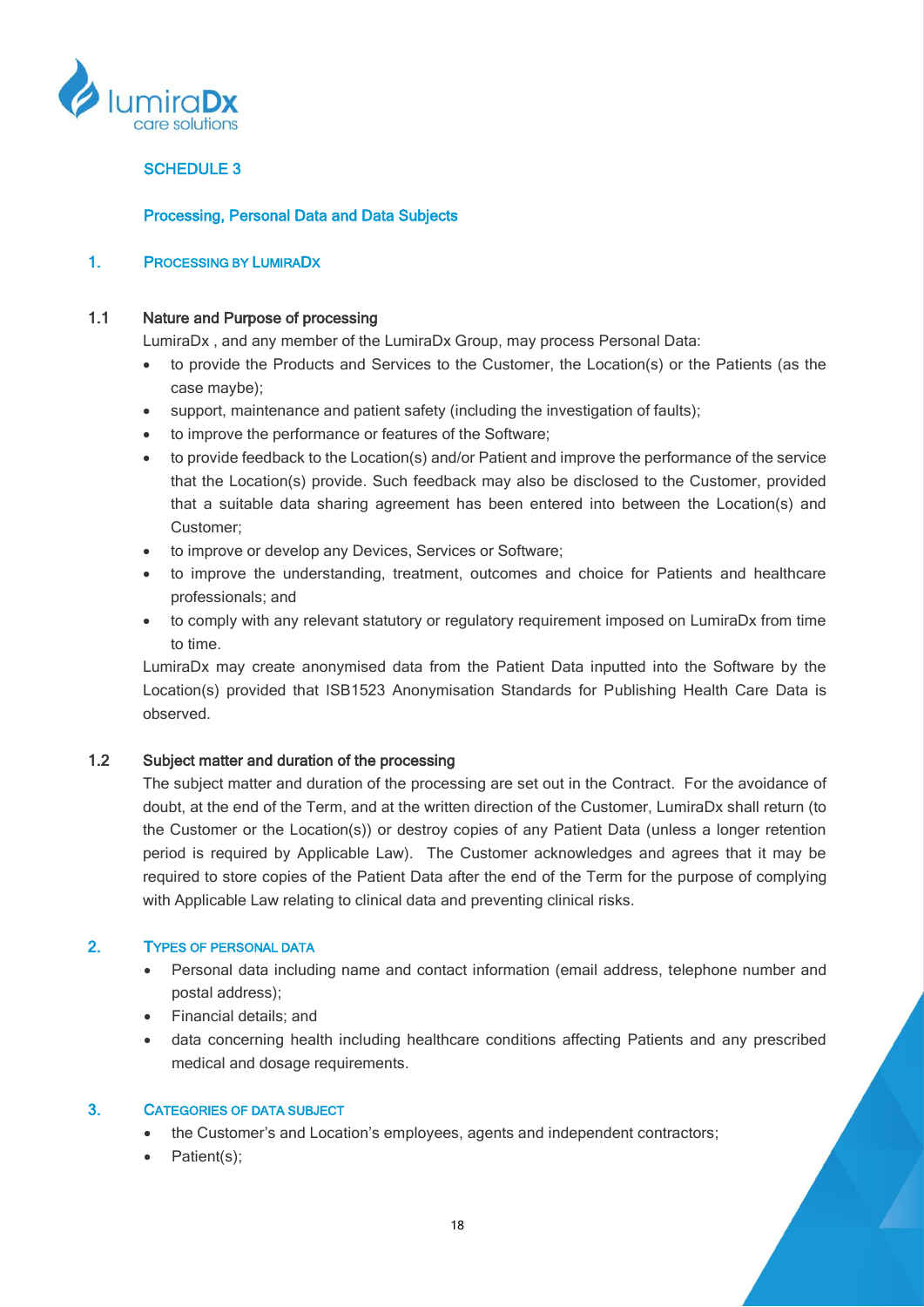

# SCHEDULE 3

## Processing, Personal Data and Data Subjects

### 1. PROCESSING BY LUMIRADX

#### 1.1 Nature and Purpose of processing

LumiraDx , and any member of the LumiraDx Group, may process Personal Data:

- to provide the Products and Services to the Customer, the Location(s) or the Patients (as the case maybe);
- support, maintenance and patient safety (including the investigation of faults);
- to improve the performance or features of the Software;
- to provide feedback to the Location(s) and/or Patient and improve the performance of the service that the Location(s) provide. Such feedback may also be disclosed to the Customer, provided that a suitable data sharing agreement has been entered into between the Location(s) and Customer;
- to improve or develop any Devices, Services or Software;
- to improve the understanding, treatment, outcomes and choice for Patients and healthcare professionals; and
- to comply with any relevant statutory or regulatory requirement imposed on LumiraDx from time to time.

LumiraDx may create anonymised data from the Patient Data inputted into the Software by the Location(s) provided that ISB1523 Anonymisation Standards for Publishing Health Care Data is observed.

## 1.2 Subject matter and duration of the processing

The subject matter and duration of the processing are set out in the Contract. For the avoidance of doubt, at the end of the Term, and at the written direction of the Customer, LumiraDx shall return (to the Customer or the Location(s)) or destroy copies of any Patient Data (unless a longer retention period is required by Applicable Law). The Customer acknowledges and agrees that it may be required to store copies of the Patient Data after the end of the Term for the purpose of complying with Applicable Law relating to clinical data and preventing clinical risks.

# 2. TYPES OF PERSONAL DATA

- Personal data including name and contact information (email address, telephone number and postal address);
- Financial details; and
- data concerning health including healthcare conditions affecting Patients and any prescribed medical and dosage requirements.

#### 3. CATEGORIES OF DATA SUBJECT

- the Customer's and Location's employees, agents and independent contractors;
- Patient(s);